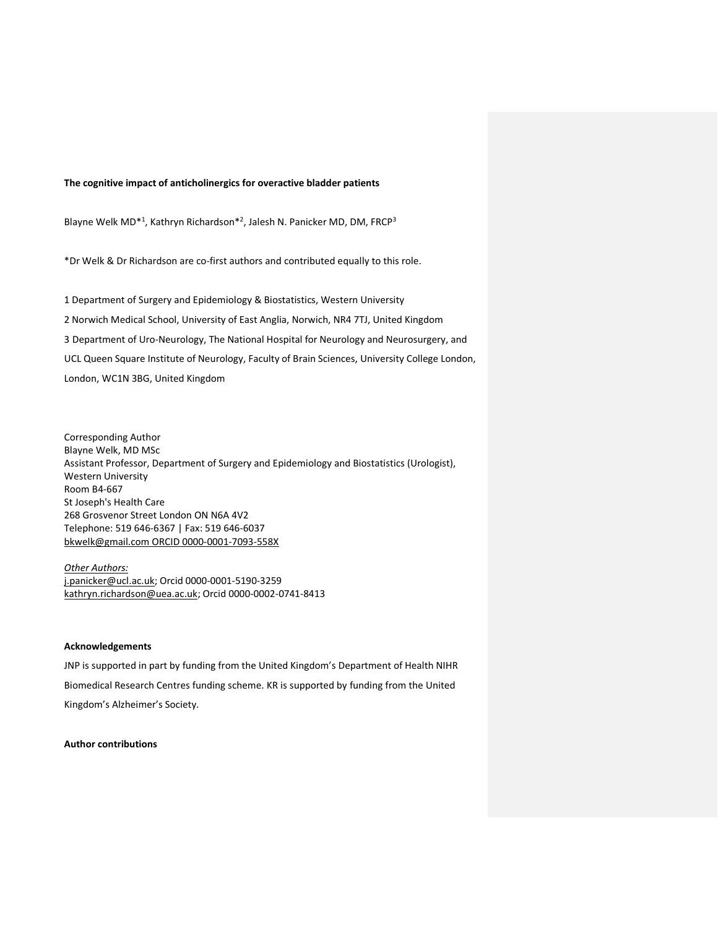#### **The cognitive impact of anticholinergics for overactive bladder patients**

Blayne Welk MD<sup>\*1</sup>, Kathryn Richardson<sup>\*2</sup>, Jalesh N. Panicker MD, DM, FRCP<sup>3</sup>

\*Dr Welk & Dr Richardson are co-first authors and contributed equally to this role.

1 Department of Surgery and Epidemiology & Biostatistics, Western University 2 Norwich Medical School, University of East Anglia, Norwich, NR4 7TJ, United Kingdom 3 Department of Uro-Neurology, The National Hospital for Neurology and Neurosurgery, and UCL Queen Square Institute of Neurology, Faculty of Brain Sciences, University College London, London, WC1N 3BG, United Kingdom

Corresponding Author Blayne Welk, MD MSc Assistant Professor, Department of Surgery and Epidemiology and Biostatistics (Urologist), Western University Room B4-667 St Joseph's Health Care 268 Grosvenor Street London ON N6A 4V2 Telephone: 519 646-6367 | Fax: 519 646-6037 [bkwelk@gmail.com](mailto:bkwelk@gmail.com) ORCID 0000-0001-7093-558X

*Other Authors:* [j.panicker@ucl.ac.uk;](mailto:j.panicker@ucl.ac.uk) Orcid 0000-0001-5190-3259 [kathryn.richardson@uea.ac.uk;](mailto:kathryn.richardson@uea.ac.uk) Orcid 0000-0002-0741-8413

#### **Acknowledgements**

JNP is supported in part by funding from the United Kingdom's Department of Health NIHR Biomedical Research Centres funding scheme. KR is supported by funding from the United Kingdom's Alzheimer's Society.

**Author contributions**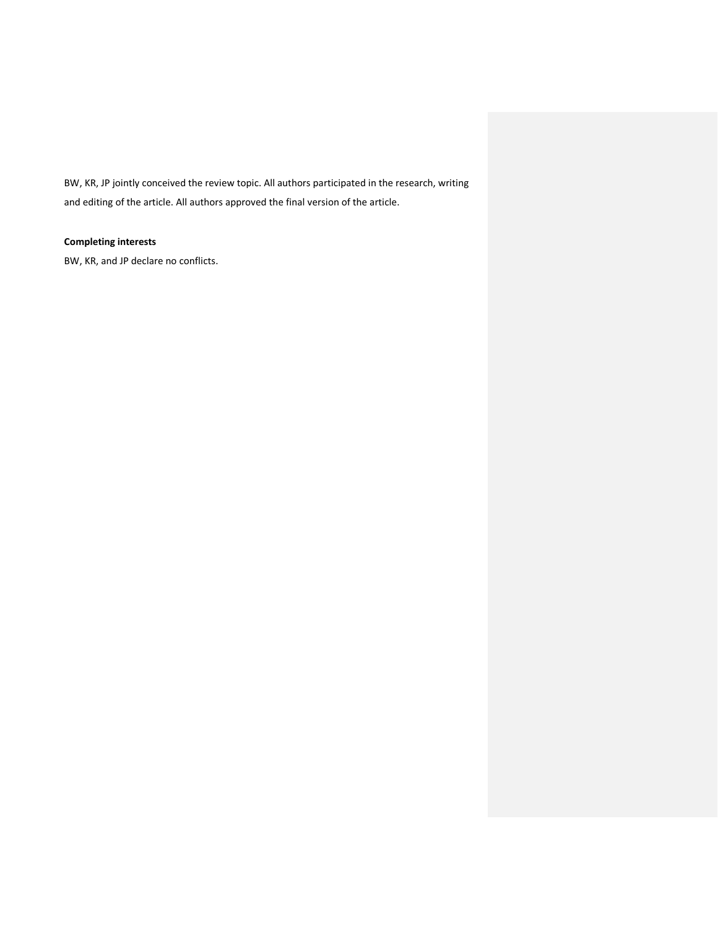BW, KR, JP jointly conceived the review topic. All authors participated in the research, writing and editing of the article. All authors approved the final version of the article.

## **Completing interests**

BW, KR, and JP declare no conflicts.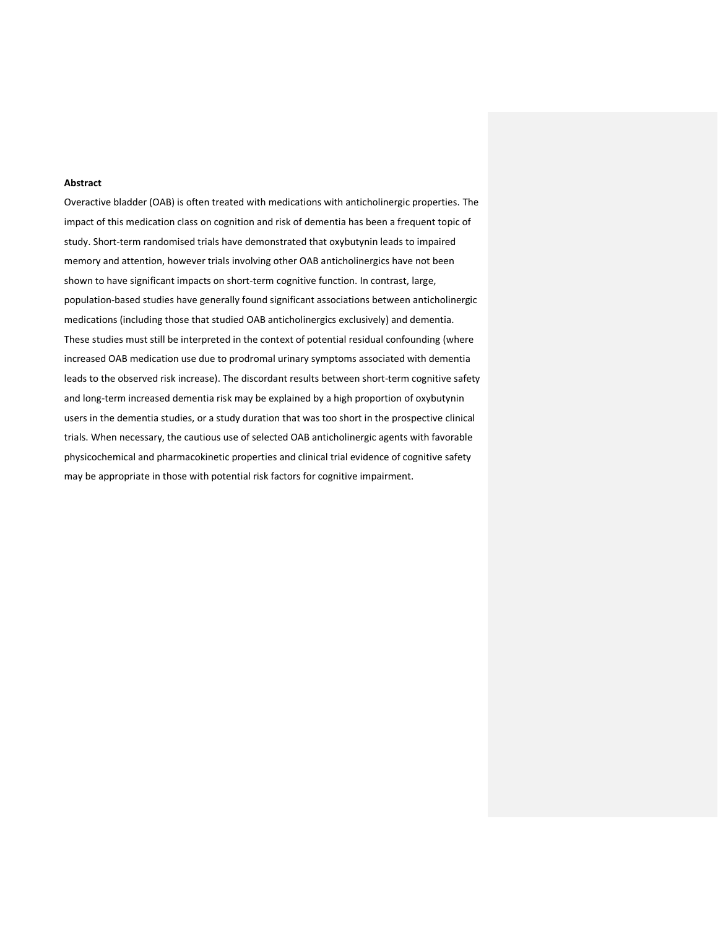### **Abstract**

Overactive bladder (OAB) is often treated with medications with anticholinergic properties. The impact of this medication class on cognition and risk of dementia has been a frequent topic of study. Short-term randomised trials have demonstrated that oxybutynin leads to impaired memory and attention, however trials involving other OAB anticholinergics have not been shown to have significant impacts on short-term cognitive function. In contrast, large, population-based studies have generally found significant associations between anticholinergic medications (including those that studied OAB anticholinergics exclusively) and dementia. These studies must still be interpreted in the context of potential residual confounding (where increased OAB medication use due to prodromal urinary symptoms associated with dementia leads to the observed risk increase). The discordant results between short-term cognitive safety and long-term increased dementia risk may be explained by a high proportion of oxybutynin users in the dementia studies, or a study duration that was too short in the prospective clinical trials. When necessary, the cautious use of selected OAB anticholinergic agents with favorable physicochemical and pharmacokinetic properties and clinical trial evidence of cognitive safety may be appropriate in those with potential risk factors for cognitive impairment.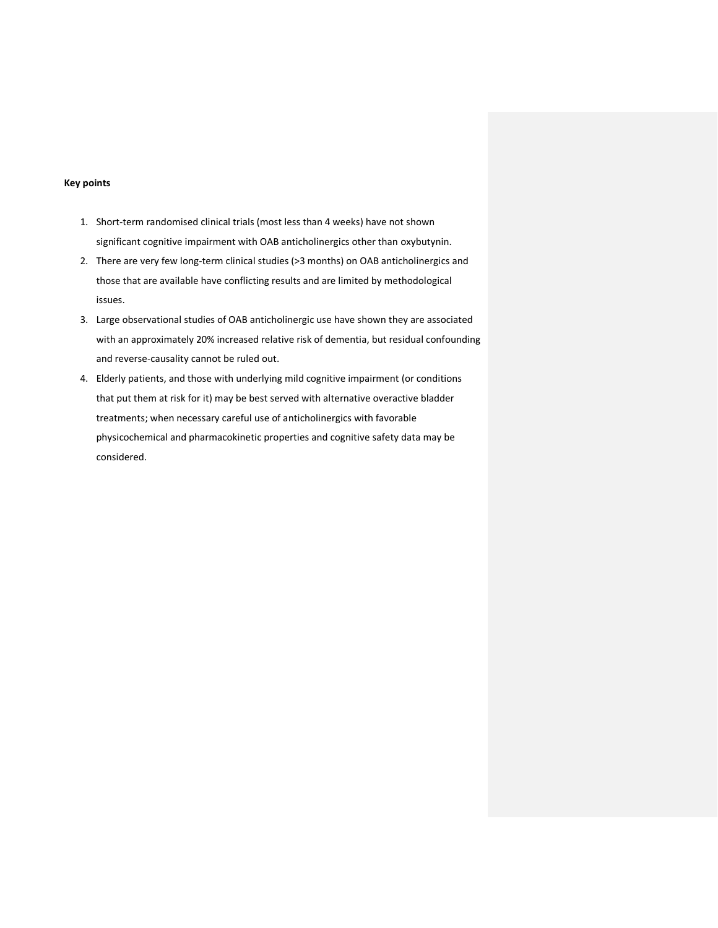### **Key points**

- 1. Short-term randomised clinical trials (most less than 4 weeks) have not shown significant cognitive impairment with OAB anticholinergics other than oxybutynin.
- 2. There are very few long-term clinical studies (>3 months) on OAB anticholinergics and those that are available have conflicting results and are limited by methodological issues.
- 3. Large observational studies of OAB anticholinergic use have shown they are associated with an approximately 20% increased relative risk of dementia, but residual confounding and reverse-causality cannot be ruled out.
- 4. Elderly patients, and those with underlying mild cognitive impairment (or conditions that put them at risk for it) may be best served with alternative overactive bladder treatments; when necessary careful use of anticholinergics with favorable physicochemical and pharmacokinetic properties and cognitive safety data may be considered.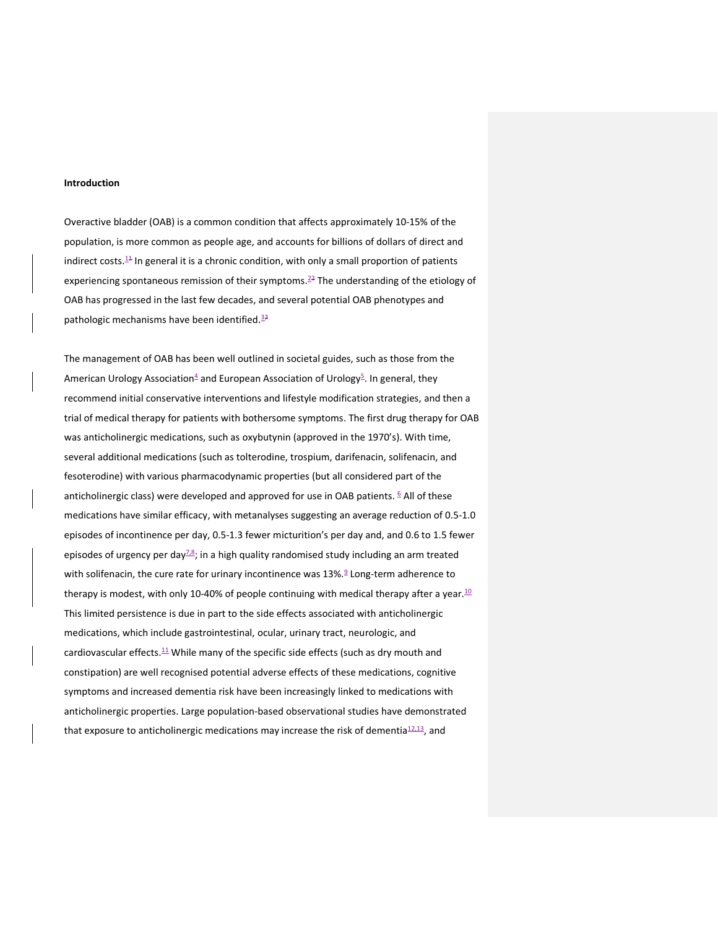#### **Introduction**

Overactive bladder (OAB) is a common condition that affects approximately 10-15% of the population, is more common as people age, and accounts for billions of dollars of direct and indirect costs. $14$  In general it is a chronic condition, with only a small proportion of patients experiencing spontaneous remission of their symptoms.<sup>22</sup> The understanding of the etiology of OAB has progressed in the last few decades, and several potential OAB phenotypes and pathologic mechanisms have been identified.<sup>33</sup>

The management of OAB has been well outlined in societal guides, such as those from the American Urology Association<sup>4</sup> and European Association of Urology<sup>5</sup>. In general, they recommend initial conservative interventions and lifestyle modification strategies, and then a trial of medical therapy for patients with bothersome symptoms. The first drug therapy for OAB was anticholinergic medications, such as oxybutynin (approved in the 1970's). With time, several additional medications (such as tolterodine, trospium, darifenacin, solifenacin, and fesoterodine) with various pharmacodynamic properties (but all considered part of the anticholinergic class) were developed and approved for use in OAB patients. <sup>6</sup> All of these medications have similar efficacy, with metanalyses suggesting an average reduction of 0.5-1.0 episodes of incontinence per day, 0.5-1.3 fewer micturition's per day and, and 0.6 to 1.5 fewer episodes of urgency per day $\frac{7.8}{5}$ ; in a high quality randomised study including an arm treated with solifenacin, the cure rate for urinary incontinence was 13%.<sup>9</sup> Long-term adherence to therapy is modest, with only 10-40% of people continuing with medical therapy after a year.  $10$ This limited persistence is due in part to the side effects associated with anticholinergic medications, which include gastrointestinal, ocular, urinary tract, neurologic, and cardiovascular effects.<sup>11</sup> While many of the specific side effects (such as dry mouth and constipation) are well recognised potential adverse effects of these medications, cognitive symptoms and increased dementia risk have been increasingly linked to medications with anticholinergic properties. Large population-based observational studies have demonstrated that exposure to anticholinergic medications may increase the risk of dementia $12,13$ , and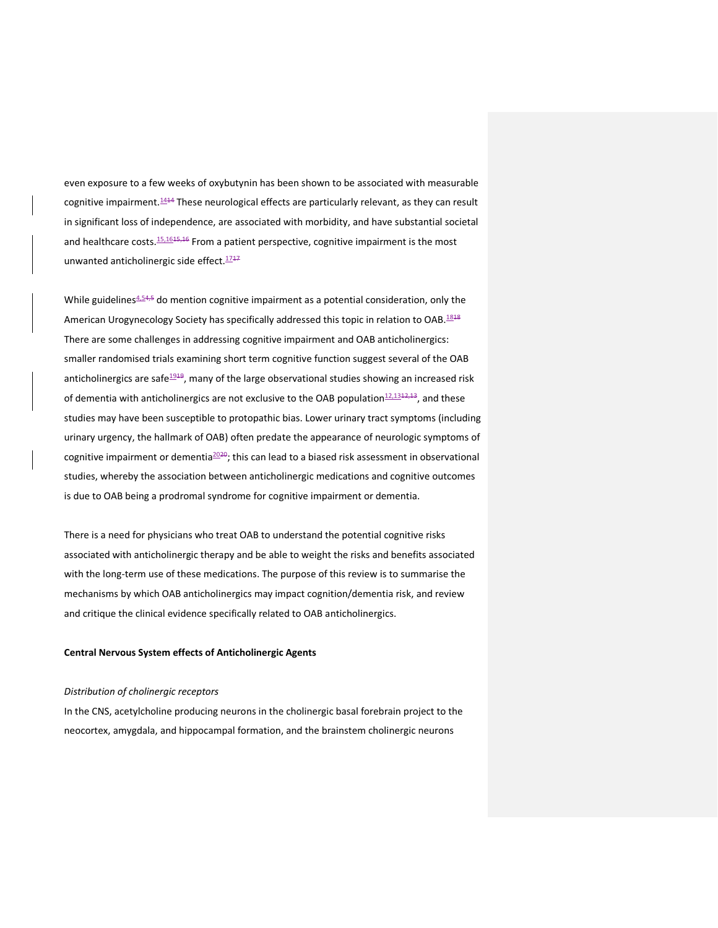even exposure to a few weeks of oxybutynin has been shown to be associated with measurable cognitive impairment.<sup>1414</sup> These neurological effects are particularly relevant, as they can result in significant loss of independence, are associated with morbidity, and have substantial societal and healthcare costs.<sup>15,1615,16</sup> From a patient perspective, cognitive impairment is the most unwanted anticholinergic side effect.<sup>1747</sup>

While guidelines $4.54,5$  do mention cognitive impairment as a potential consideration, only the American Urogynecology Society has specifically addressed this topic in relation to OAB.<sup>1848</sup> There are some challenges in addressing cognitive impairment and OAB anticholinergics: smaller randomised trials examining short term cognitive function suggest several of the OAB anticholinergics are safe<sup>1919</sup>, many of the large observational studies showing an increased risk of dementia with anticholinergics are not exclusive to the OAB population $12,1312,13$ , and these studies may have been susceptible to protopathic bias. Lower urinary tract symptoms (including urinary urgency, the hallmark of OAB) often predate the appearance of neurologic symptoms of cognitive impairment or dementia $2020$ ; this can lead to a biased risk assessment in observational studies, whereby the association between anticholinergic medications and cognitive outcomes is due to OAB being a prodromal syndrome for cognitive impairment or dementia.

There is a need for physicians who treat OAB to understand the potential cognitive risks associated with anticholinergic therapy and be able to weight the risks and benefits associated with the long-term use of these medications. The purpose of this review is to summarise the mechanisms by which OAB anticholinergics may impact cognition/dementia risk, and review and critique the clinical evidence specifically related to OAB anticholinergics.

## **Central Nervous System effects of Anticholinergic Agents**

#### *Distribution of cholinergic receptors*

In the CNS, acetylcholine producing neurons in the cholinergic basal forebrain project to the neocortex, amygdala, and hippocampal formation, and the brainstem cholinergic neurons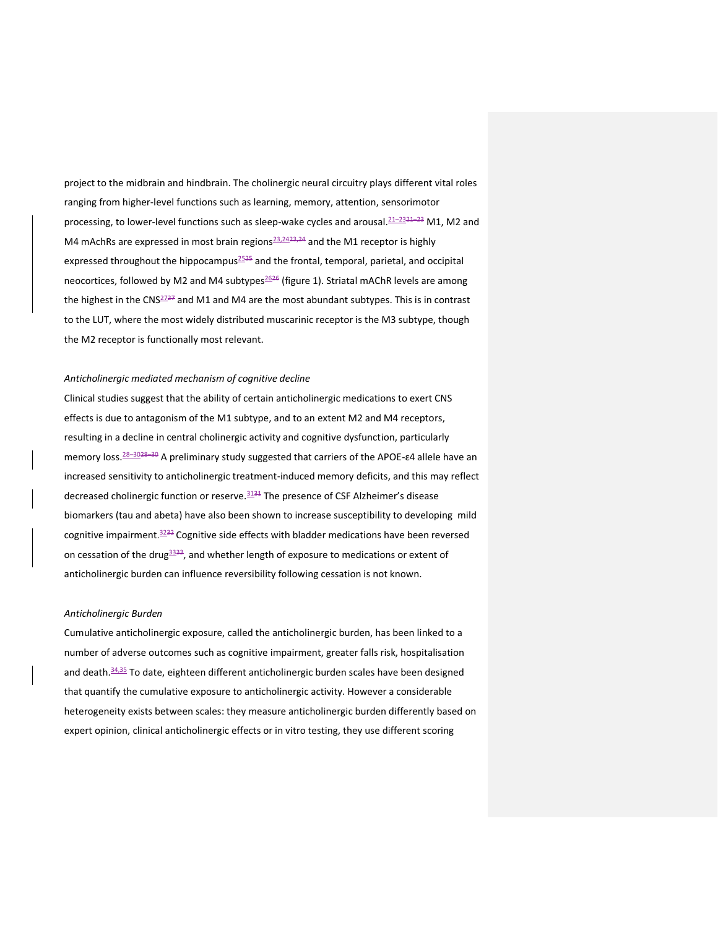project to the midbrain and hindbrain. The cholinergic neural circuitry plays different vital roles ranging from higher-level functions such as learning, memory, attention, sensorimotor processing, to lower-level functions such as sleep-wake cycles and arousal.<sup>21–2321–23</sup> M1, M2 and M4 mAchRs are expressed in most brain regions $\frac{23,2423,24}{2}$  and the M1 receptor is highly expressed throughout the hippocampus<sup>2525</sup> and the frontal, temporal, parietal, and occipital neocortices, followed by M2 and M4 subtypes<sup>2626</sup> (figure 1). Striatal mAChR levels are among the highest in the CNS $^{2727}$  and M1 and M4 are the most abundant subtypes. This is in contrast to the LUT, where the most widely distributed muscarinic receptor is the M3 subtype, though the M2 receptor is functionally most relevant.

### *Anticholinergic mediated mechanism of cognitive decline*

Clinical studies suggest that the ability of certain anticholinergic medications to exert CNS effects is due to antagonism of the M1 subtype, and to an extent M2 and M4 receptors, resulting in a decline in central cholinergic activity and cognitive dysfunction, particularly memory loss.<sup>28–3028–30</sup> A preliminary study suggested that carriers of the APOE-E4 allele have an increased sensitivity to anticholinergic treatment-induced memory deficits, and this may reflect decreased cholinergic function or reserve.<sup>3131</sup> The presence of CSF Alzheimer's disease biomarkers (tau and abeta) have also been shown to increase susceptibility to developing mild cognitive impairment.<sup>3232</sup> Cognitive side effects with bladder medications have been reversed on cessation of the drug $3333$ , and whether length of exposure to medications or extent of anticholinergic burden can influence reversibility following cessation is not known.

#### *Anticholinergic Burden*

Cumulative anticholinergic exposure, called the anticholinergic burden, has been linked to a number of adverse outcomes such as cognitive impairment, greater falls risk, hospitalisation and death.<sup>34,35</sup> To date, eighteen different anticholinergic burden scales have been designed that quantify the cumulative exposure to anticholinergic activity. However a considerable heterogeneity exists between scales: they measure anticholinergic burden differently based on expert opinion, clinical anticholinergic effects or in vitro testing, they use different scoring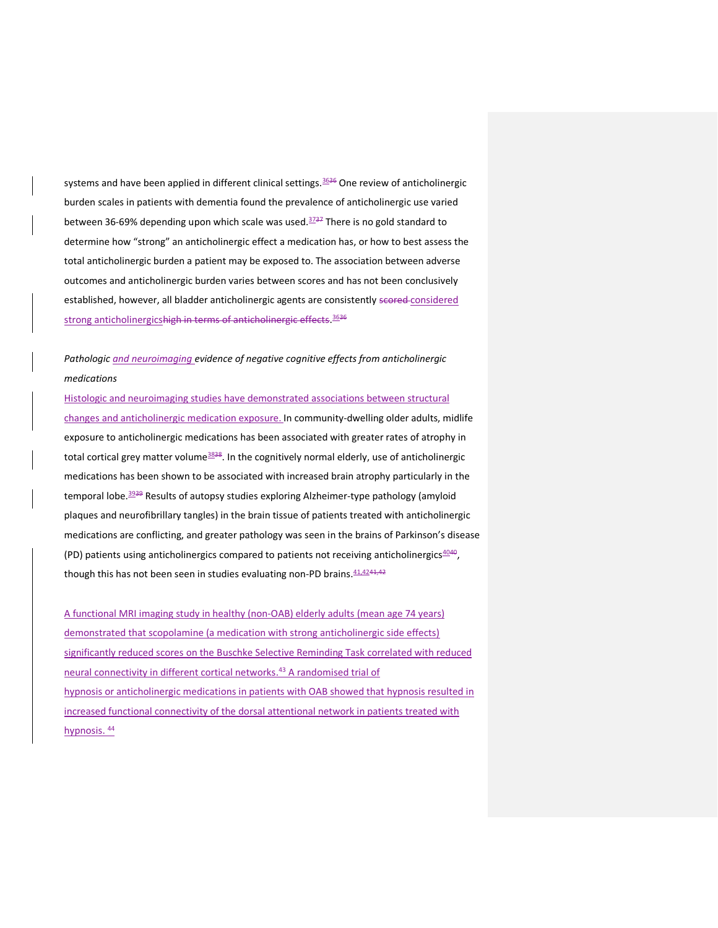systems and have been applied in different clinical settings.<sup>3636</sup> One review of anticholinergic burden scales in patients with dementia found the prevalence of anticholinergic use varied between 36-69% depending upon which scale was used. $3737$  There is no gold standard to determine how "strong" an anticholinergic effect a medication has, or how to best assess the total anticholinergic burden a patient may be exposed to. The association between adverse outcomes and anticholinergic burden varies between scores and has not been conclusively established, however, all bladder anticholinergic agents are consistently scored-considered strong anticholinergicshigh in terms of anticholinergic effects. 3636

# *Pathologic and neuroimaging evidence of negative cognitive effects from anticholinergic medications*

Histologic and neuroimaging studies have demonstrated associations between structural changes and anticholinergic medication exposure. In community-dwelling older adults, midlife exposure to anticholinergic medications has been associated with greater rates of atrophy in total cortical grey matter volume<sup>3838</sup>. In the cognitively normal elderly, use of anticholinergic medications has been shown to be associated with increased brain atrophy particularly in the temporal lobe.<sup>3939</sup> Results of autopsy studies exploring Alzheimer-type pathology (amyloid plaques and neurofibrillary tangles) in the brain tissue of patients treated with anticholinergic medications are conflicting, and greater pathology was seen in the brains of Parkinson's disease (PD) patients using anticholinergics compared to patients not receiving anticholinergics $4040$ , though this has not been seen in studies evaluating non-PD brains.  $41.4241.42$ 

A functional MRI imaging study in healthy (non-OAB) elderly adults (mean age 74 years) demonstrated that scopolamine (a medication with strong anticholinergic side effects) significantly reduced scores on the Buschke Selective Reminding Task correlated with reduced neural connectivity in different cortical networks.<sup>43</sup> A randomised trial of hypnosis or anticholinergic medications in patients with OAB showed that hypnosis resulted in increased functional connectivity of the dorsal attentional network in patients treated with hypnosis. 44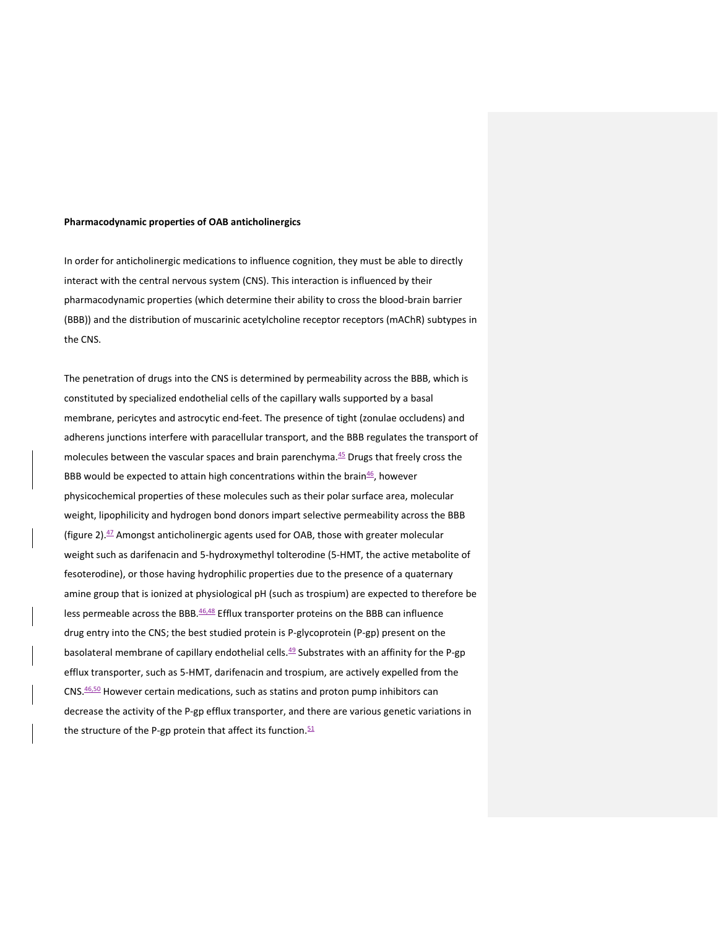#### **Pharmacodynamic properties of OAB anticholinergics**

In order for anticholinergic medications to influence cognition, they must be able to directly interact with the central nervous system (CNS). This interaction is influenced by their pharmacodynamic properties (which determine their ability to cross the blood-brain barrier (BBB)) and the distribution of muscarinic acetylcholine receptor receptors (mAChR) subtypes in the CNS.

The penetration of drugs into the CNS is determined by permeability across the BBB, which is constituted by specialized endothelial cells of the capillary walls supported by a basal membrane, pericytes and astrocytic end-feet. The presence of tight (zonulae occludens) and adherens junctions interfere with paracellular transport, and the BBB regulates the transport of molecules between the vascular spaces and brain parenchyma. $45$  Drugs that freely cross the BBB would be expected to attain high concentrations within the brain $46/2$ , however physicochemical properties of these molecules such as their polar surface area, molecular weight, lipophilicity and hydrogen bond donors impart selective permeability across the BBB (figure 2). <sup>47</sup> Amongst anticholinergic agents used for OAB, those with greater molecular weight such as darifenacin and 5-hydroxymethyl tolterodine (5-HMT, the active metabolite of fesoterodine), or those having hydrophilic properties due to the presence of a quaternary amine group that is ionized at physiological pH (such as trospium) are expected to therefore be less permeable across the BBB. 46,48 Efflux transporter proteins on the BBB can influence drug entry into the CNS; the best studied protein is P-glycoprotein (P-gp) present on the basolateral membrane of capillary endothelial cells.<sup>49</sup> Substrates with an affinity for the P-gp efflux transporter, such as 5-HMT, darifenacin and trospium, are actively expelled from the CNS. 46,50 However certain medications, such as statins and proton pump inhibitors can decrease the activity of the P-gp efflux transporter, and there are various genetic variations in the structure of the P-gp protein that affect its function.<sup>51</sup>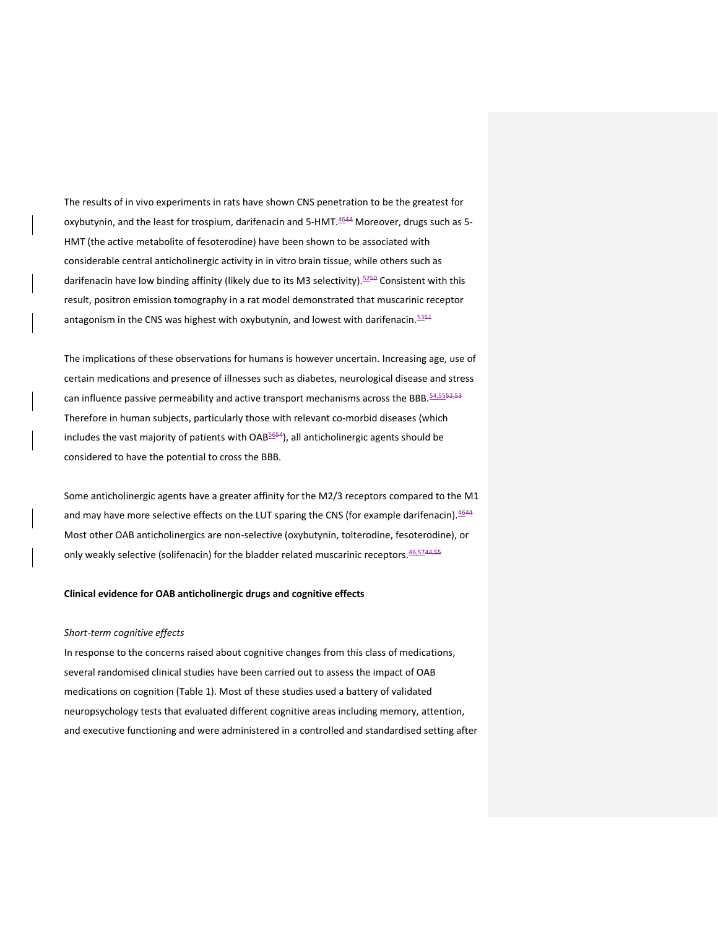The results of in vivo experiments in rats have shown CNS penetration to be the greatest for oxybutynin, and the least for trospium, darifenacin and 5-HMT.<sup>4644</sup> Moreover, drugs such as 5-HMT (the active metabolite of fesoterodine) have been shown to be associated with considerable central anticholinergic activity in in vitro brain tissue, while others such as darifenacin have low binding affinity (likely due to its M3 selectivity).<sup>5250</sup> Consistent with this result, positron emission tomography in a rat model demonstrated that muscarinic receptor antagonism in the CNS was highest with oxybutynin, and lowest with darifenacin.  $5354$ 

The implications of these observations for humans is however uncertain. Increasing age, use of certain medications and presence of illnesses such as diabetes, neurological disease and stress can influence passive permeability and active transport mechanisms across the BBB. 54,5552,53 Therefore in human subjects, particularly those with relevant co-morbid diseases (which includes the vast majority of patients with OAB<sup>5654</sup>), all anticholinergic agents should be considered to have the potential to cross the BBB.

Some anticholinergic agents have a greater affinity for the M2/3 receptors compared to the M1 and may have more selective effects on the LUT sparing the CNS (for example darifenacin). 4644 Most other OAB anticholinergics are non-selective (oxybutynin, tolterodine, fesoterodine), or only weakly selective (solifenacin) for the bladder related muscarinic receptors.  $46,5744,55$ 

## **Clinical evidence for OAB anticholinergic drugs and cognitive effects**

#### *Short-term cognitive effects*

In response to the concerns raised about cognitive changes from this class of medications, several randomised clinical studies have been carried out to assess the impact of OAB medications on cognition (Table 1). Most of these studies used a battery of validated neuropsychology tests that evaluated different cognitive areas including memory, attention, and executive functioning and were administered in a controlled and standardised setting after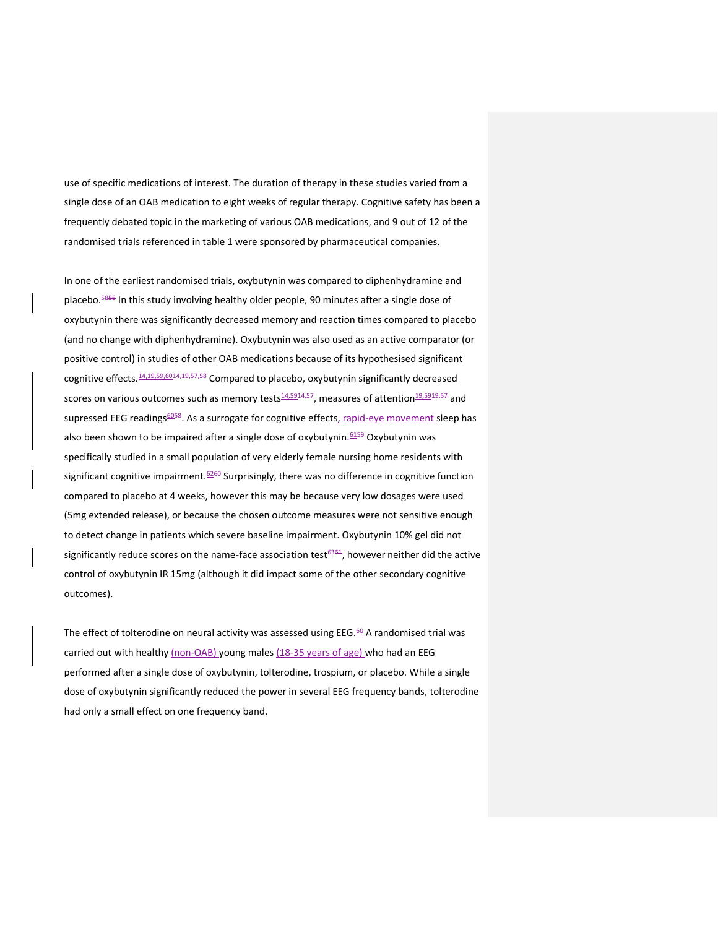use of specific medications of interest. The duration of therapy in these studies varied from a single dose of an OAB medication to eight weeks of regular therapy. Cognitive safety has been a frequently debated topic in the marketing of various OAB medications, and 9 out of 12 of the randomised trials referenced in table 1 were sponsored by pharmaceutical companies.

In one of the earliest randomised trials, oxybutynin was compared to diphenhydramine and placebo.<sup>5856</sup> In this study involving healthy older people, 90 minutes after a single dose of oxybutynin there was significantly decreased memory and reaction times compared to placebo (and no change with diphenhydramine). Oxybutynin was also used as an active comparator (or positive control) in studies of other OAB medications because of its hypothesised significant cognitive effects.<sup>14,19,59,6014,19,57,58</sup> Compared to placebo, oxybutynin significantly decreased scores on various outcomes such as memory tests $\frac{14,5914,57}{2}$ , measures of attention $\frac{19,5919,57}{2}$  and supressed EEG readings<sup>6058</sup>. As a surrogate for cognitive effects, rapid-eye movement sleep has also been shown to be impaired after a single dose of oxybutynin. 6159 Oxybutynin was specifically studied in a small population of very elderly female nursing home residents with significant cognitive impairment.<sup>6260</sup> Surprisingly, there was no difference in cognitive function compared to placebo at 4 weeks, however this may be because very low dosages were used (5mg extended release), or because the chosen outcome measures were not sensitive enough to detect change in patients which severe baseline impairment. Oxybutynin 10% gel did not significantly reduce scores on the name-face association test<sup>6361</sup>, however neither did the active control of oxybutynin IR 15mg (although it did impact some of the other secondary cognitive outcomes).

The effect of tolterodine on neural activity was assessed using EEG. $60$  A randomised trial was carried out with healthy (non-OAB) young males (18-35 years of age) who had an EEG performed after a single dose of oxybutynin, tolterodine, trospium, or placebo. While a single dose of oxybutynin significantly reduced the power in several EEG frequency bands, tolterodine had only a small effect on one frequency band.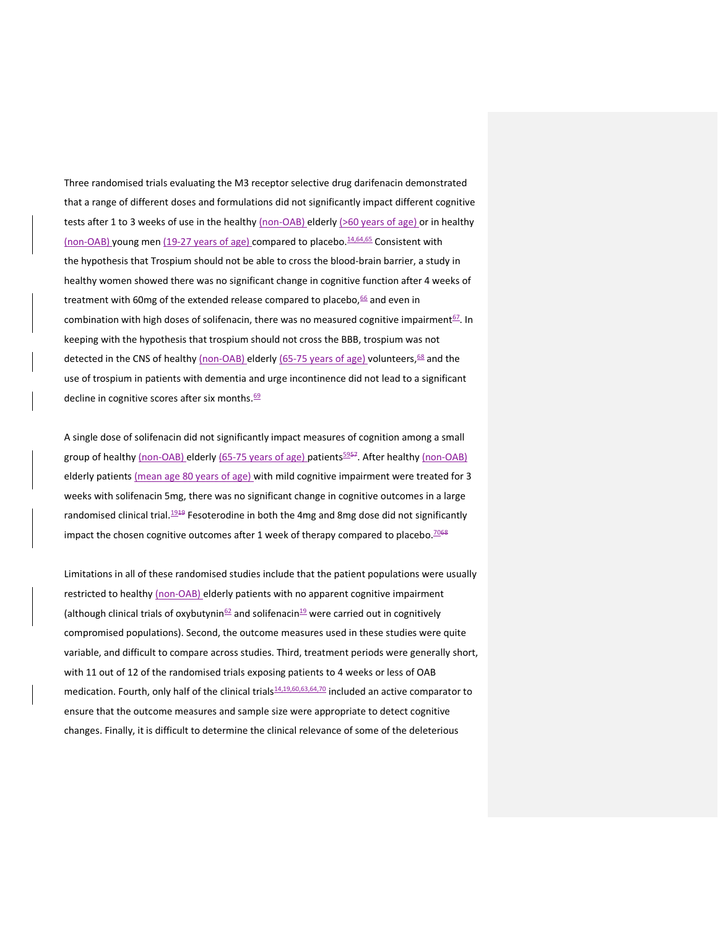Three randomised trials evaluating the M3 receptor selective drug darifenacin demonstrated that a range of different doses and formulations did not significantly impact different cognitive tests after 1 to 3 weeks of use in the healthy (non-OAB) elderly (>60 years of age) or in healthy (non-OAB) young men (19-27 years of age) compared to placebo. $14,64,65$  Consistent with the hypothesis that Trospium should not be able to cross the blood-brain barrier, a study in healthy women showed there was no significant change in cognitive function after 4 weeks of treatment with 60mg of the extended release compared to placebo, $66$  and even in combination with high doses of solifenacin, there was no measured cognitive impairment<sup>67</sup>. In keeping with the hypothesis that trospium should not cross the BBB, trospium was not detected in the CNS of healthy (non-OAB) elderly (65-75 years of age) volunteers,<sup>68</sup> and the use of trospium in patients with dementia and urge incontinence did not lead to a significant decline in cognitive scores after six months.<sup>69</sup>

A single dose of solifenacin did not significantly impact measures of cognition among a small group of healthy (non-OAB) elderly (65-75 years of age) patients<sup>5957</sup>. After healthy (non-OAB) elderly patients (mean age 80 years of age) with mild cognitive impairment were treated for 3 weeks with solifenacin 5mg, there was no significant change in cognitive outcomes in a large randomised clinical trial. $1949$  Fesoterodine in both the 4mg and 8mg dose did not significantly impact the chosen cognitive outcomes after 1 week of therapy compared to placebo.<sup>7068</sup>

Limitations in all of these randomised studies include that the patient populations were usually restricted to healthy (non-OAB) elderly patients with no apparent cognitive impairment (although clinical trials of oxybutynin $62$  and solifenacin $19$  were carried out in cognitively compromised populations). Second, the outcome measures used in these studies were quite variable, and difficult to compare across studies. Third, treatment periods were generally short, with 11 out of 12 of the randomised trials exposing patients to 4 weeks or less of OAB medication. Fourth, only half of the clinical trials<sup>14,19,60,63,64,70</sup> included an active comparator to ensure that the outcome measures and sample size were appropriate to detect cognitive changes. Finally, it is difficult to determine the clinical relevance of some of the deleterious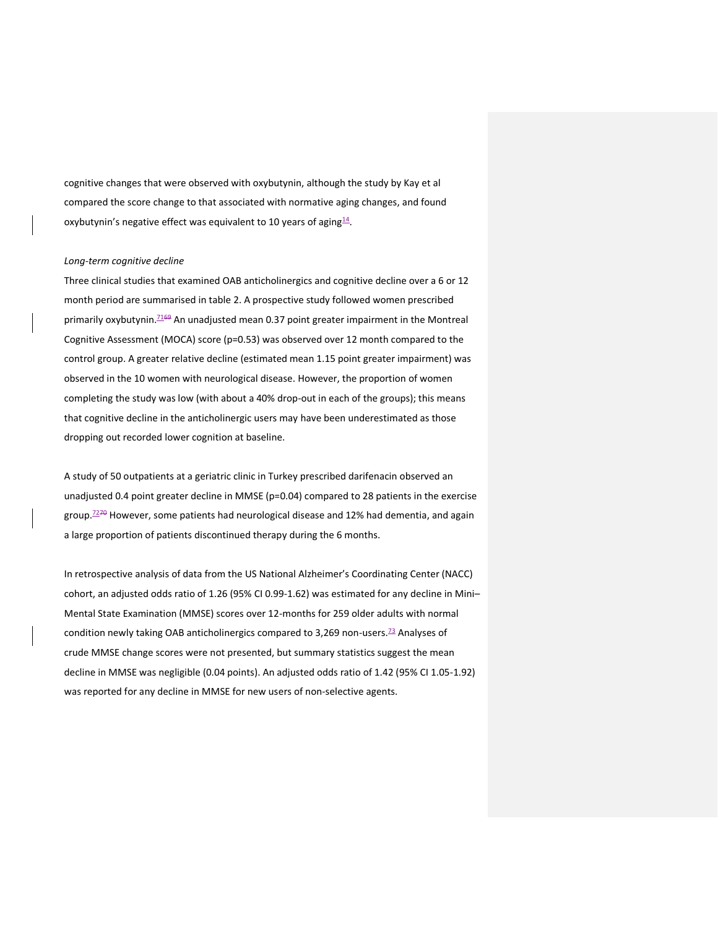cognitive changes that were observed with oxybutynin, although the study by Kay et al compared the score change to that associated with normative aging changes, and found oxybutynin's negative effect was equivalent to 10 years of aging<sup>14</sup>.

#### *Long-term cognitive decline*

Three clinical studies that examined OAB anticholinergics and cognitive decline over a 6 or 12 month period are summarised in table 2. A prospective study followed women prescribed primarily oxybutynin.<sup>7169</sup> An unadjusted mean 0.37 point greater impairment in the Montreal Cognitive Assessment (MOCA) score (p=0.53) was observed over 12 month compared to the control group. A greater relative decline (estimated mean 1.15 point greater impairment) was observed in the 10 women with neurological disease. However, the proportion of women completing the study was low (with about a 40% drop-out in each of the groups); this means that cognitive decline in the anticholinergic users may have been underestimated as those dropping out recorded lower cognition at baseline.

A study of 50 outpatients at a geriatric clinic in Turkey prescribed darifenacin observed an unadjusted 0.4 point greater decline in MMSE (p=0.04) compared to 28 patients in the exercise group.<sup>7270</sup> However, some patients had neurological disease and 12% had dementia, and again a large proportion of patients discontinued therapy during the 6 months.

In retrospective analysis of data from the US National Alzheimer's Coordinating Center (NACC) cohort, an adjusted odds ratio of 1.26 (95% CI 0.99-1.62) was estimated for any decline in Mini– Mental State Examination (MMSE) scores over 12-months for 259 older adults with normal condition newly taking OAB anticholinergics compared to 3,269 non-users.<sup>73</sup> Analyses of crude MMSE change scores were not presented, but summary statistics suggest the mean decline in MMSE was negligible (0.04 points). An adjusted odds ratio of 1.42 (95% CI 1.05-1.92) was reported for any decline in MMSE for new users of non-selective agents.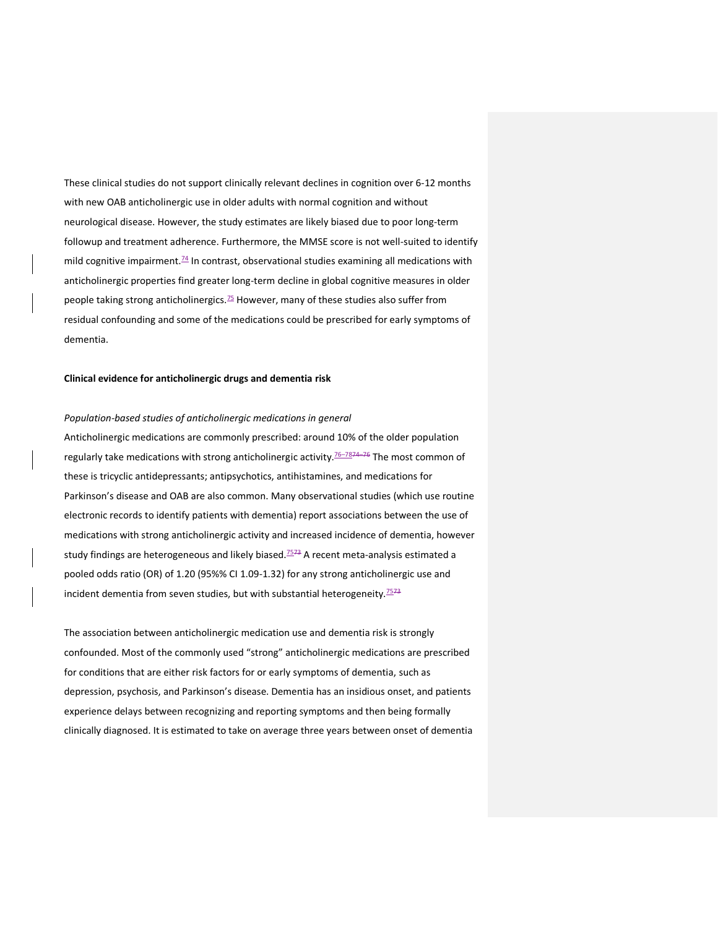These clinical studies do not support clinically relevant declines in cognition over 6-12 months with new OAB anticholinergic use in older adults with normal cognition and without neurological disease. However, the study estimates are likely biased due to poor long-term followup and treatment adherence. Furthermore, the MMSE score is not well-suited to identify mild cognitive impairment. $\frac{74}{1}$  In contrast, observational studies examining all medications with anticholinergic properties find greater long-term decline in global cognitive measures in older people taking strong anticholinergics. $75$  However, many of these studies also suffer from residual confounding and some of the medications could be prescribed for early symptoms of dementia.

## **Clinical evidence for anticholinergic drugs and dementia risk**

### *Population-based studies of anticholinergic medications in general*

Anticholinergic medications are commonly prescribed: around 10% of the older population regularly take medications with strong anticholinergic activity.<sup>76-7874-76</sup> The most common of these is tricyclic antidepressants; antipsychotics, antihistamines, and medications for Parkinson's disease and OAB are also common. Many observational studies (which use routine electronic records to identify patients with dementia) report associations between the use of medications with strong anticholinergic activity and increased incidence of dementia, however study findings are heterogeneous and likely biased.<sup>7573</sup> A recent meta-analysis estimated a pooled odds ratio (OR) of 1.20 (95%% CI 1.09-1.32) for any strong anticholinergic use and incident dementia from seven studies, but with substantial heterogeneity.<sup>7573</sup>

The association between anticholinergic medication use and dementia risk is strongly confounded. Most of the commonly used "strong" anticholinergic medications are prescribed for conditions that are either risk factors for or early symptoms of dementia, such as depression, psychosis, and Parkinson's disease. Dementia has an insidious onset, and patients experience delays between recognizing and reporting symptoms and then being formally clinically diagnosed. It is estimated to take on average three years between onset of dementia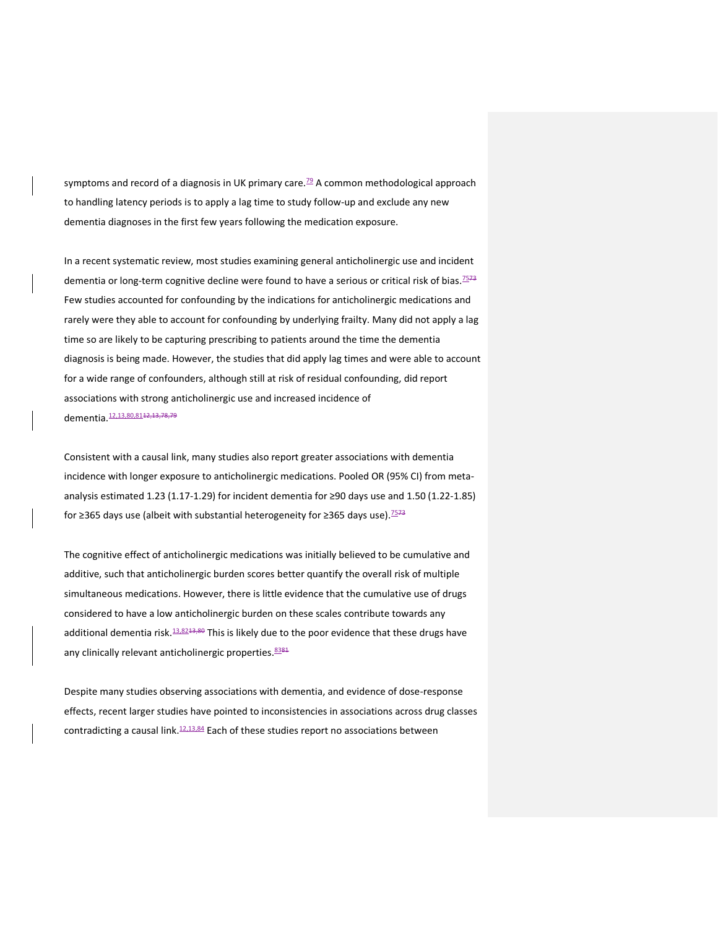symptoms and record of a diagnosis in UK primary care.<sup>79</sup> A common methodological approach to handling latency periods is to apply a lag time to study follow-up and exclude any new dementia diagnoses in the first few years following the medication exposure.

In a recent systematic review, most studies examining general anticholinergic use and incident dementia or long-term cognitive decline were found to have a serious or critical risk of bias.<sup>7573</sup> Few studies accounted for confounding by the indications for anticholinergic medications and rarely were they able to account for confounding by underlying frailty. Many did not apply a lag time so are likely to be capturing prescribing to patients around the time the dementia diagnosis is being made. However, the studies that did apply lag times and were able to account for a wide range of confounders, although still at risk of residual confounding, did report associations with strong anticholinergic use and increased incidence of dementia. 12,13,80,81 + 2,13,78,79

Consistent with a causal link, many studies also report greater associations with dementia incidence with longer exposure to anticholinergic medications. Pooled OR (95% CI) from metaanalysis estimated 1.23 (1.17-1.29) for incident dementia for ≥90 days use and 1.50 (1.22-1.85) for ≥365 days use (albeit with substantial heterogeneity for ≥365 days use).<sup>7573</sup>

The cognitive effect of anticholinergic medications was initially believed to be cumulative and additive, such that anticholinergic burden scores better quantify the overall risk of multiple simultaneous medications. However, there is little evidence that the cumulative use of drugs considered to have a low anticholinergic burden on these scales contribute towards any additional dementia risk.  $13.8243,80$  This is likely due to the poor evidence that these drugs have any clinically relevant anticholinergic properties. 8381

Despite many studies observing associations with dementia, and evidence of dose-response effects, recent larger studies have pointed to inconsistencies in associations across drug classes contradicting a causal link. $12,13,84$  Each of these studies report no associations between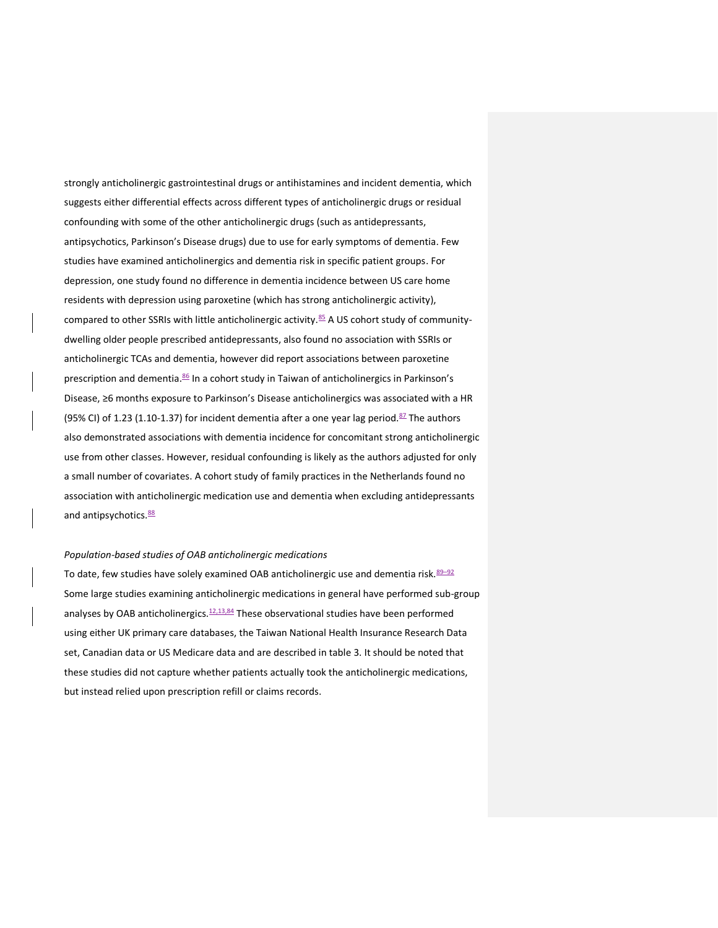strongly anticholinergic gastrointestinal drugs or antihistamines and incident dementia, which suggests either differential effects across different types of anticholinergic drugs or residual confounding with some of the other anticholinergic drugs (such as antidepressants, antipsychotics, Parkinson's Disease drugs) due to use for early symptoms of dementia. Few studies have examined anticholinergics and dementia risk in specific patient groups. For depression, one study found no difference in dementia incidence between US care home residents with depression using paroxetine (which has strong anticholinergic activity), compared to other SSRIs with little anticholinergic activity.<sup>85</sup> A US cohort study of communitydwelling older people prescribed antidepressants, also found no association with SSRIs or anticholinergic TCAs and dementia, however did report associations between paroxetine prescription and dementia.<sup>86</sup> In a cohort study in Taiwan of anticholinergics in Parkinson's Disease, ≥6 months exposure to Parkinson's Disease anticholinergics was associated with a HR (95% CI) of 1.23 (1.10-1.37) for incident dementia after a one year lag period.<sup>87</sup> The authors also demonstrated associations with dementia incidence for concomitant strong anticholinergic use from other classes. However, residual confounding is likely as the authors adjusted for only a small number of covariates. A cohort study of family practices in the Netherlands found no association with anticholinergic medication use and dementia when excluding antidepressants and antipsychotics.<sup>88</sup>

### *Population-based studies of OAB anticholinergic medications*

To date, few studies have solely examined OAB anticholinergic use and dementia risk.  $89-92$ Some large studies examining anticholinergic medications in general have performed sub-group analyses by OAB anticholinergics. $12,13,84$  These observational studies have been performed using either UK primary care databases, the Taiwan National Health Insurance Research Data set, Canadian data or US Medicare data and are described in table 3. It should be noted that these studies did not capture whether patients actually took the anticholinergic medications, but instead relied upon prescription refill or claims records.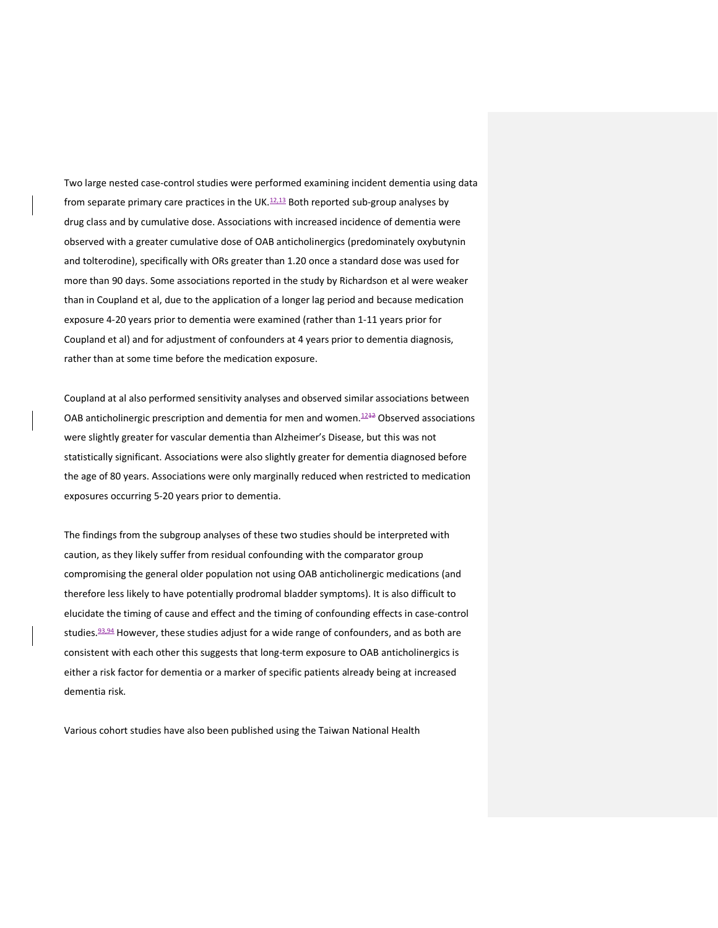Two large nested case-control studies were performed examining incident dementia using data from separate primary care practices in the UK. $12,13$  Both reported sub-group analyses by drug class and by cumulative dose. Associations with increased incidence of dementia were observed with a greater cumulative dose of OAB anticholinergics (predominately oxybutynin and tolterodine), specifically with ORs greater than 1.20 once a standard dose was used for more than 90 days. Some associations reported in the study by Richardson et al were weaker than in Coupland et al, due to the application of a longer lag period and because medication exposure 4-20 years prior to dementia were examined (rather than 1-11 years prior for Coupland et al) and for adjustment of confounders at 4 years prior to dementia diagnosis, rather than at some time before the medication exposure.

Coupland at al also performed sensitivity analyses and observed similar associations between OAB anticholinergic prescription and dementia for men and women. $1242$  Observed associations were slightly greater for vascular dementia than Alzheimer's Disease, but this was not statistically significant. Associations were also slightly greater for dementia diagnosed before the age of 80 years. Associations were only marginally reduced when restricted to medication exposures occurring 5-20 years prior to dementia.

The findings from the subgroup analyses of these two studies should be interpreted with caution, as they likely suffer from residual confounding with the comparator group compromising the general older population not using OAB anticholinergic medications (and therefore less likely to have potentially prodromal bladder symptoms). It is also difficult to elucidate the timing of cause and effect and the timing of confounding effects in case-control studies.<sup>93,94</sup> However, these studies adjust for a wide range of confounders, and as both are consistent with each other this suggests that long-term exposure to OAB anticholinergics is either a risk factor for dementia or a marker of specific patients already being at increased dementia risk.

Various cohort studies have also been published using the Taiwan National Health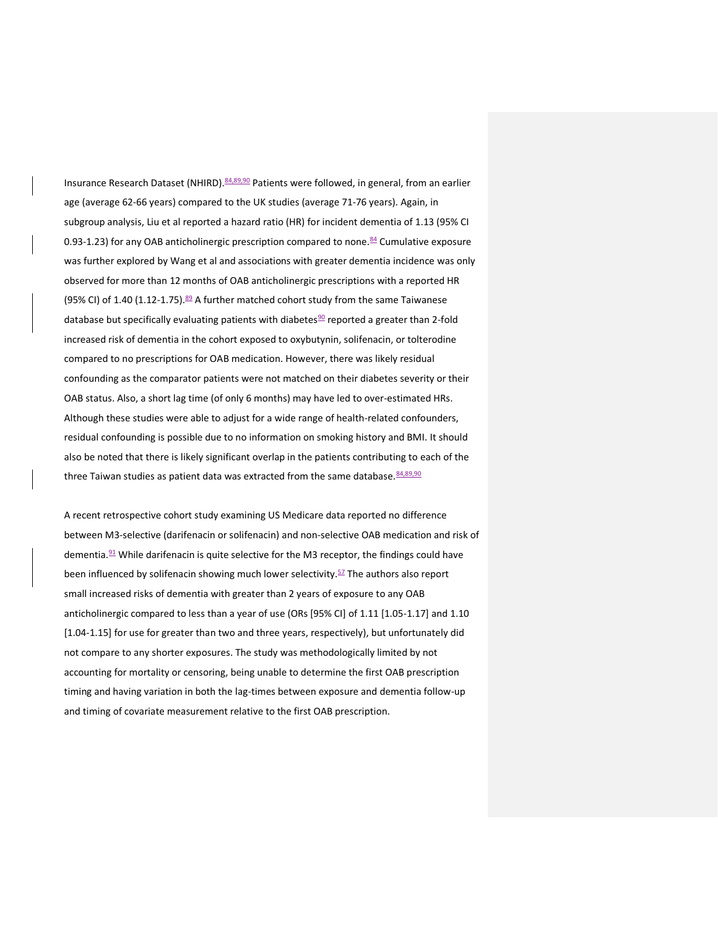Insurance Research Dataset (NHIRD). 84,89,90 Patients were followed, in general, from an earlier age (average 62-66 years) compared to the UK studies (average 71-76 years). Again, in subgroup analysis, Liu et al reported a hazard ratio (HR) for incident dementia of 1.13 (95% CI 0.93-1.23) for any OAB anticholinergic prescription compared to none. $84$  Cumulative exposure was further explored by Wang et al and associations with greater dementia incidence was only observed for more than 12 months of OAB anticholinergic prescriptions with a reported HR (95% CI) of 1.40 (1.12-1.75). $89$  A further matched cohort study from the same Taiwanese database but specifically evaluating patients with diabetes $90$  reported a greater than 2-fold increased risk of dementia in the cohort exposed to oxybutynin, solifenacin, or tolterodine compared to no prescriptions for OAB medication. However, there was likely residual confounding as the comparator patients were not matched on their diabetes severity or their OAB status. Also, a short lag time (of only 6 months) may have led to over-estimated HRs. Although these studies were able to adjust for a wide range of health-related confounders, residual confounding is possible due to no information on smoking history and BMI. It should also be noted that there is likely significant overlap in the patients contributing to each of the three Taiwan studies as patient data was extracted from the same database. 84,89,90

A recent retrospective cohort study examining US Medicare data reported no difference between M3-selective (darifenacin or solifenacin) and non-selective OAB medication and risk of dementia. $91$  While darifenacin is quite selective for the M3 receptor, the findings could have been influenced by solifenacin showing much lower selectivity.<sup>57</sup> The authors also report small increased risks of dementia with greater than 2 years of exposure to any OAB anticholinergic compared to less than a year of use (ORs [95% CI] of 1.11 [1.05-1.17] and 1.10 [1.04-1.15] for use for greater than two and three years, respectively), but unfortunately did not compare to any shorter exposures. The study was methodologically limited by not accounting for mortality or censoring, being unable to determine the first OAB prescription timing and having variation in both the lag-times between exposure and dementia follow-up and timing of covariate measurement relative to the first OAB prescription.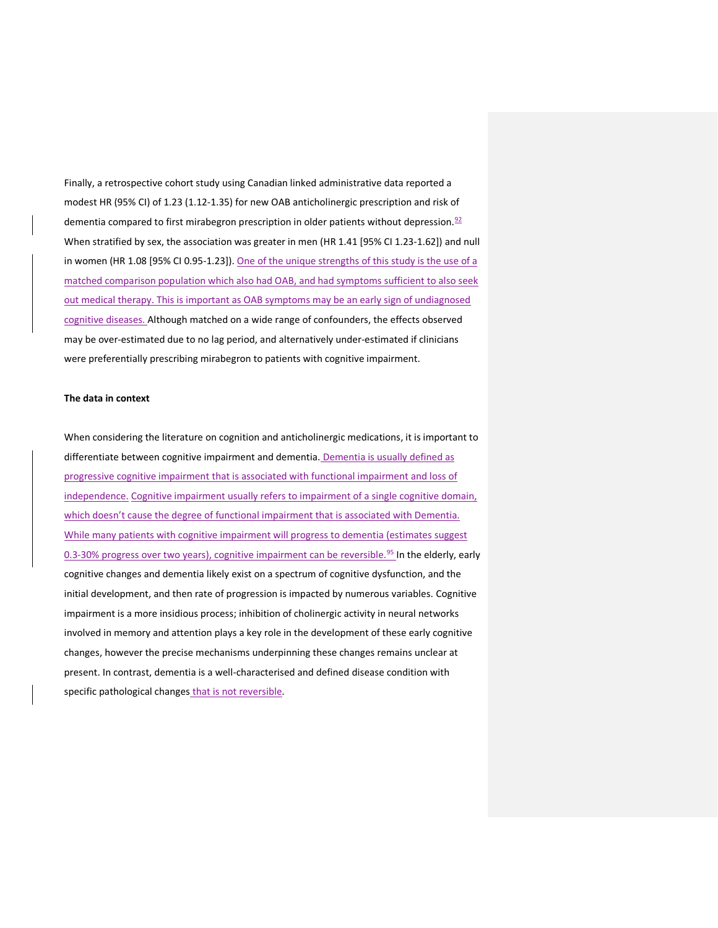Finally, a retrospective cohort study using Canadian linked administrative data reported a modest HR (95% CI) of 1.23 (1.12-1.35) for new OAB anticholinergic prescription and risk of dementia compared to first mirabegron prescription in older patients without depression. $92$ When stratified by sex, the association was greater in men (HR 1.41 [95% CI 1.23-1.62]) and null in women (HR 1.08 [95% CI 0.95-1.23]). One of the unique strengths of this study is the use of a matched comparison population which also had OAB, and had symptoms sufficient to also seek out medical therapy. This is important as OAB symptoms may be an early sign of undiagnosed cognitive diseases. Although matched on a wide range of confounders, the effects observed may be over-estimated due to no lag period, and alternatively under-estimated if clinicians were preferentially prescribing mirabegron to patients with cognitive impairment.

## **The data in context**

When considering the literature on cognition and anticholinergic medications, it is important to differentiate between cognitive impairment and dementia. Dementia is usually defined as progressive cognitive impairment that is associated with functional impairment and loss of independence. Cognitive impairment usually refers to impairment of a single cognitive domain, which doesn't cause the degree of functional impairment that is associated with Dementia. While many patients with cognitive impairment will progress to dementia (estimates suggest 0.3-30% progress over two years), cognitive impairment can be reversible.<sup>95</sup> In the elderly, early cognitive changes and dementia likely exist on a spectrum of cognitive dysfunction, and the initial development, and then rate of progression is impacted by numerous variables. Cognitive impairment is a more insidious process; inhibition of cholinergic activity in neural networks involved in memory and attention plays a key role in the development of these early cognitive changes, however the precise mechanisms underpinning these changes remains unclear at present. In contrast, dementia is a well-characterised and defined disease condition with specific pathological changes that is not reversible.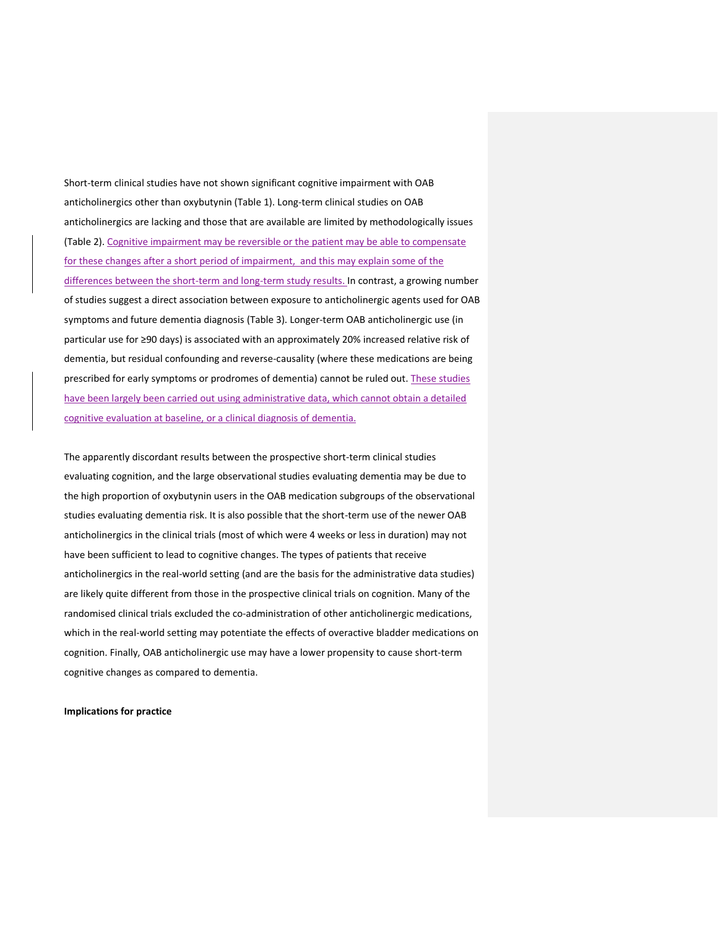Short-term clinical studies have not shown significant cognitive impairment with OAB anticholinergics other than oxybutynin (Table 1). Long-term clinical studies on OAB anticholinergics are lacking and those that are available are limited by methodologically issues (Table 2). Cognitive impairment may be reversible or the patient may be able to compensate for these changes after a short period of impairment, and this may explain some of the differences between the short-term and long-term study results. In contrast, a growing number of studies suggest a direct association between exposure to anticholinergic agents used for OAB symptoms and future dementia diagnosis (Table 3). Longer-term OAB anticholinergic use (in particular use for ≥90 days) is associated with an approximately 20% increased relative risk of dementia, but residual confounding and reverse-causality (where these medications are being prescribed for early symptoms or prodromes of dementia) cannot be ruled out. These studies have been largely been carried out using administrative data, which cannot obtain a detailed cognitive evaluation at baseline, or a clinical diagnosis of dementia.

The apparently discordant results between the prospective short-term clinical studies evaluating cognition, and the large observational studies evaluating dementia may be due to the high proportion of oxybutynin users in the OAB medication subgroups of the observational studies evaluating dementia risk. It is also possible that the short-term use of the newer OAB anticholinergics in the clinical trials (most of which were 4 weeks or less in duration) may not have been sufficient to lead to cognitive changes. The types of patients that receive anticholinergics in the real-world setting (and are the basis for the administrative data studies) are likely quite different from those in the prospective clinical trials on cognition. Many of the randomised clinical trials excluded the co-administration of other anticholinergic medications, which in the real-world setting may potentiate the effects of overactive bladder medications on cognition. Finally, OAB anticholinergic use may have a lower propensity to cause short-term cognitive changes as compared to dementia.

**Implications for practice**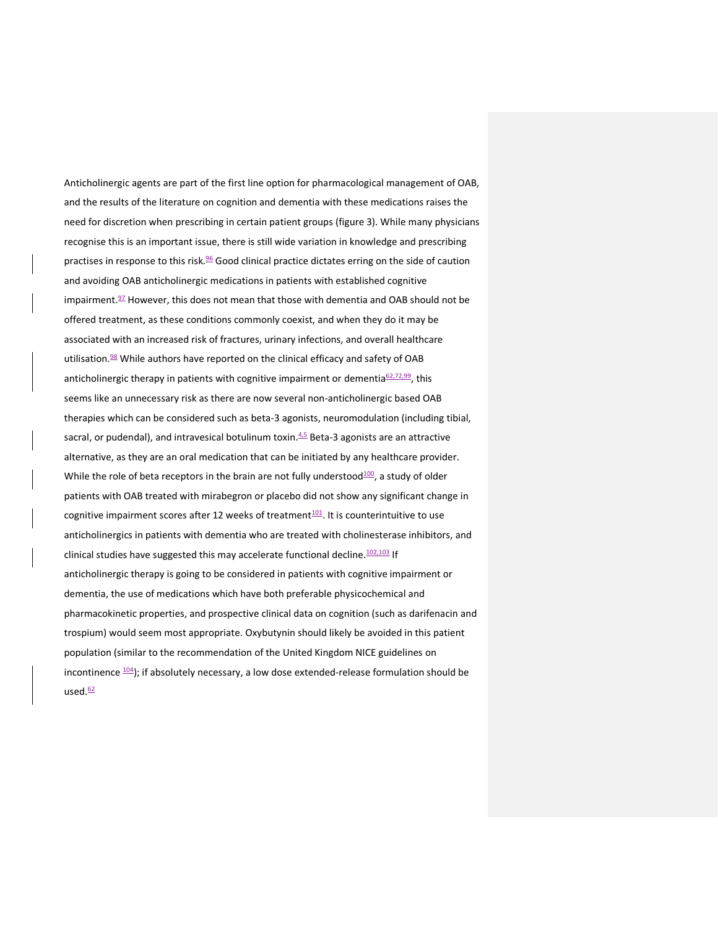Anticholinergic agents are part of the first line option for pharmacological management of OAB, and the results of the literature on cognition and dementia with these medications raises the need for discretion when prescribing in certain patient groups (figure 3). While many physicians recognise this is an important issue, there is still wide variation in knowledge and prescribing practises in response to this risk.<sup>96</sup> Good clinical practice dictates erring on the side of caution and avoiding OAB anticholinergic medications in patients with established cognitive impairment. <sup>97</sup> However, this does not mean that those with dementia and OAB should not be offered treatment, as these conditions commonly coexist, and when they do it may be associated with an increased risk of fractures, urinary infections, and overall healthcare utilisation.<sup>98</sup> While authors have reported on the clinical efficacy and safety of OAB anticholinergic therapy in patients with cognitive impairment or dementia<sup>62,72,99</sup>, this seems like an unnecessary risk as there are now several non-anticholinergic based OAB therapies which can be considered such as beta-3 agonists, neuromodulation (including tibial, sacral, or pudendal), and intravesical botulinum toxin.<sup>4,5</sup> Beta-3 agonists are an attractive alternative, as they are an oral medication that can be initiated by any healthcare provider. While the role of beta receptors in the brain are not fully understood $100$ , a study of older patients with OAB treated with mirabegron or placebo did not show any significant change in cognitive impairment scores after 12 weeks of treatment $101$ . It is counterintuitive to use anticholinergics in patients with dementia who are treated with cholinesterase inhibitors, and clinical studies have suggested this may accelerate functional decline.<sup>102,103</sup> If anticholinergic therapy is going to be considered in patients with cognitive impairment or dementia, the use of medications which have both preferable physicochemical and pharmacokinetic properties, and prospective clinical data on cognition (such as darifenacin and trospium) would seem most appropriate. Oxybutynin should likely be avoided in this patient population (similar to the recommendation of the United Kingdom NICE guidelines on incontinence  $104$ ); if absolutely necessary, a low dose extended-release formulation should be used.<sup>62</sup>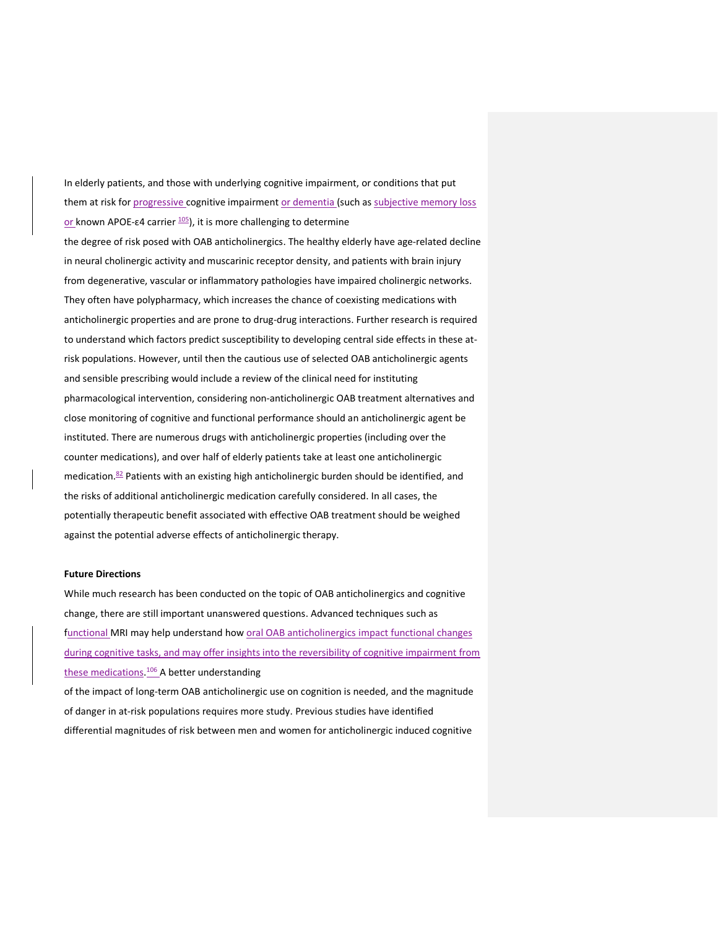In elderly patients, and those with underlying cognitive impairment, or conditions that put them at risk for progressive cognitive impairment or dementia (such as subjective memory loss or known APOE- $\epsilon$ 4 carrier  $\frac{105}{2}$ , it is more challenging to determine

the degree of risk posed with OAB anticholinergics. The healthy elderly have age-related decline in neural cholinergic activity and muscarinic receptor density, and patients with brain injury from degenerative, vascular or inflammatory pathologies have impaired cholinergic networks. They often have polypharmacy, which increases the chance of coexisting medications with anticholinergic properties and are prone to drug-drug interactions. Further research is required to understand which factors predict susceptibility to developing central side effects in these atrisk populations. However, until then the cautious use of selected OAB anticholinergic agents and sensible prescribing would include a review of the clinical need for instituting pharmacological intervention, considering non-anticholinergic OAB treatment alternatives and close monitoring of cognitive and functional performance should an anticholinergic agent be instituted. There are numerous drugs with anticholinergic properties (including over the counter medications), and over half of elderly patients take at least one anticholinergic medication.<sup>82</sup> Patients with an existing high anticholinergic burden should be identified, and the risks of additional anticholinergic medication carefully considered. In all cases, the potentially therapeutic benefit associated with effective OAB treatment should be weighed against the potential adverse effects of anticholinergic therapy.

## **Future Directions**

While much research has been conducted on the topic of OAB anticholinergics and cognitive change, there are still important unanswered questions. Advanced techniques such as functional MRI may help understand how oral OAB anticholinergics impact functional changes during cognitive tasks, and may offer insights into the reversibility of cognitive impairment from these medications.<sup>106</sup> A better understanding of the impact of long-term OAB anticholinergic use on cognition is needed, and the magnitude of danger in at-risk populations requires more study. Previous studies have identified

differential magnitudes of risk between men and women for anticholinergic induced cognitive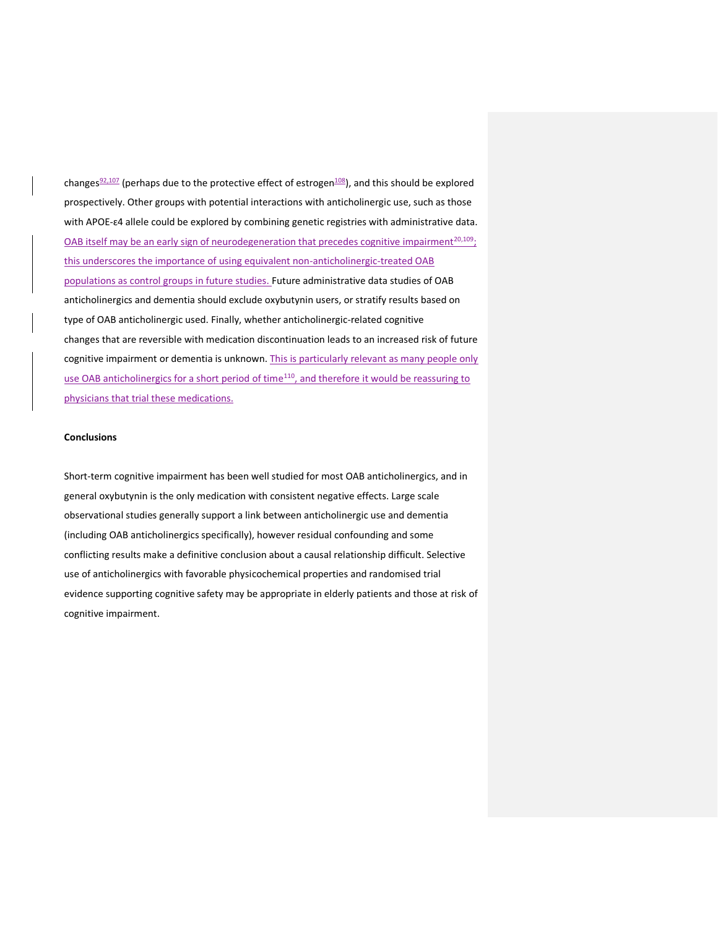changes<sup>92,107</sup> (perhaps due to the protective effect of estrogen<sup>108</sup>), and this should be explored prospectively. Other groups with potential interactions with anticholinergic use, such as those with APOE-ɛ4 allele could be explored by combining genetic registries with administrative data. OAB itself may be an early sign of neurodegeneration that precedes cognitive impairment<sup>20,109</sup>; this underscores the importance of using equivalent non-anticholinergic-treated OAB populations as control groups in future studies. Future administrative data studies of OAB anticholinergics and dementia should exclude oxybutynin users, or stratify results based on type of OAB anticholinergic used. Finally, whether anticholinergic-related cognitive changes that are reversible with medication discontinuation leads to an increased risk of future cognitive impairment or dementia is unknown. This is particularly relevant as many people only use OAB anticholinergics for a short period of time<sup>110</sup>, and therefore it would be reassuring to physicians that trial these medications.

## **Conclusions**

Short-term cognitive impairment has been well studied for most OAB anticholinergics, and in general oxybutynin is the only medication with consistent negative effects. Large scale observational studies generally support a link between anticholinergic use and dementia (including OAB anticholinergics specifically), however residual confounding and some conflicting results make a definitive conclusion about a causal relationship difficult. Selective use of anticholinergics with favorable physicochemical properties and randomised trial evidence supporting cognitive safety may be appropriate in elderly patients and those at risk of cognitive impairment.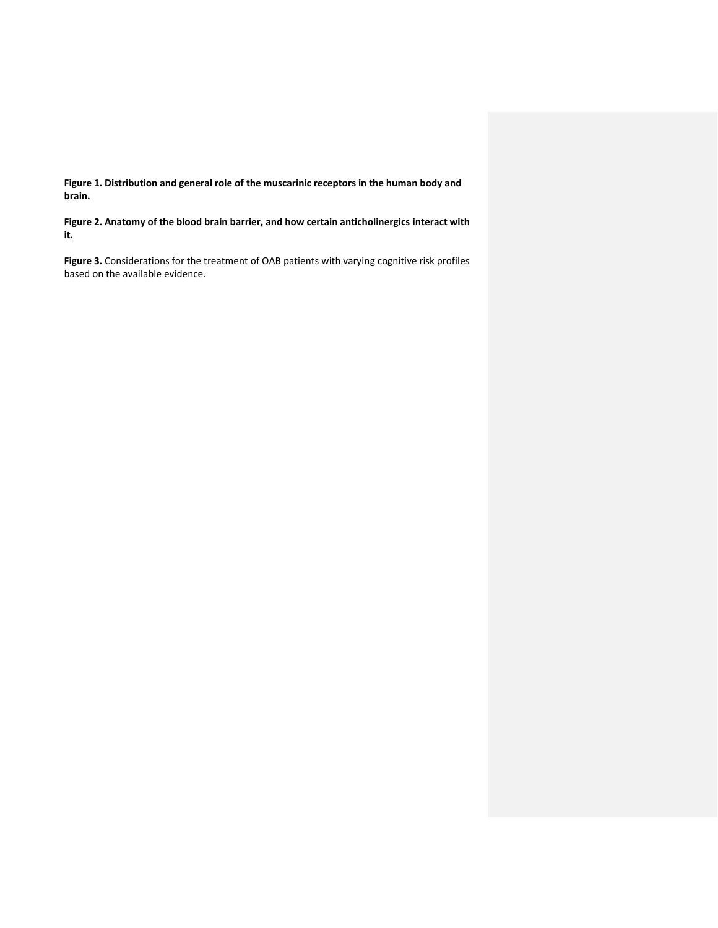**Figure 1. Distribution and general role of the muscarinic receptors in the human body and brain.**

**Figure 2. Anatomy of the blood brain barrier, and how certain anticholinergics interact with it.**

**Figure 3.** Considerations for the treatment of OAB patients with varying cognitive risk profiles based on the available evidence.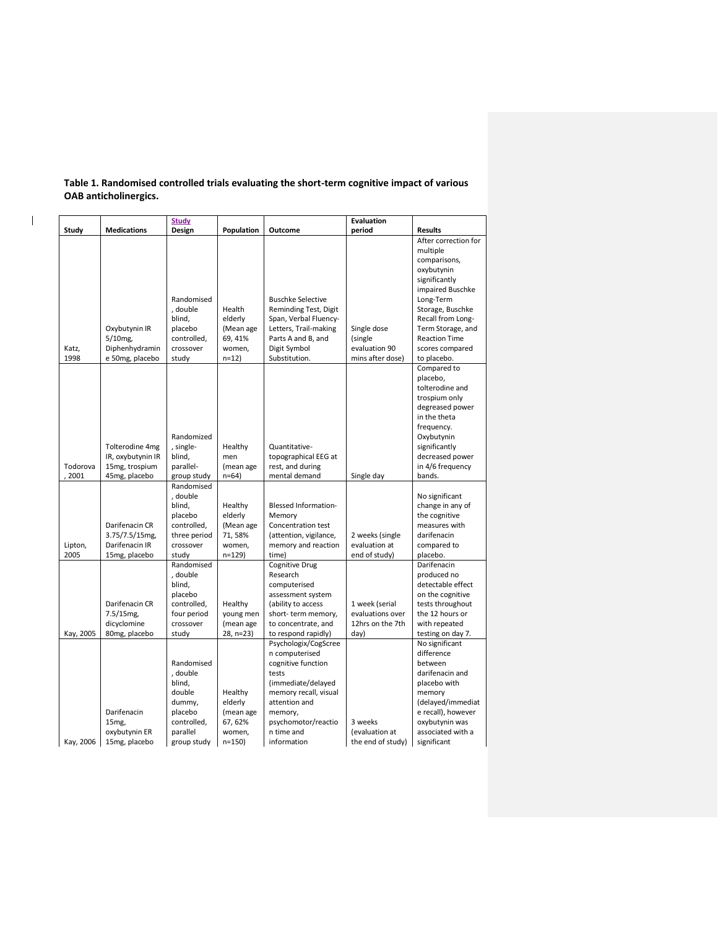|                    | <b>Study</b>                                                            |                                                                                                           | <b>Evaluation</b>                                                 |                                                                                                                                                                                                      |                                                                |                                                                                                                                                                                                                                          |  |
|--------------------|-------------------------------------------------------------------------|-----------------------------------------------------------------------------------------------------------|-------------------------------------------------------------------|------------------------------------------------------------------------------------------------------------------------------------------------------------------------------------------------------|----------------------------------------------------------------|------------------------------------------------------------------------------------------------------------------------------------------------------------------------------------------------------------------------------------------|--|
| Study              | <b>Medications</b>                                                      | Design                                                                                                    | Population                                                        | Outcome                                                                                                                                                                                              | period                                                         | <b>Results</b>                                                                                                                                                                                                                           |  |
| Katz,<br>1998      | Oxybutynin IR<br>5/10mg,<br>Diphenhydramin<br>e 50mg, placebo           | Randomised<br>, double<br>blind,<br>placebo<br>controlled,<br>crossover<br>study                          | Health<br>elderly<br>(Mean age<br>69, 41%<br>women,<br>$n=12$     | <b>Buschke Selective</b><br>Reminding Test, Digit<br>Span, Verbal Fluency-<br>Letters, Trail-making<br>Parts A and B, and<br>Digit Symbol<br>Substitution.                                           | Single dose<br>(single<br>evaluation 90<br>mins after dose)    | After correction for<br>multiple<br>comparisons,<br>oxybutynin<br>significantly<br>impaired Buschke<br>Long-Term<br>Storage, Buschke<br>Recall from Long-<br>Term Storage, and<br><b>Reaction Time</b><br>scores compared<br>to placebo. |  |
| Todorova<br>, 2001 | Tolterodine 4mg<br>IR, oxybutynin IR<br>15mg, trospium<br>45mg, placebo | Randomized<br>, single-<br>blind,<br>parallel-<br>group study                                             | Healthy<br>men<br>(mean age<br>$n=64$                             | Quantitative-<br>topographical EEG at<br>rest, and during<br>mental demand                                                                                                                           | Single day                                                     | Compared to<br>placebo,<br>tolterodine and<br>trospium only<br>degreased power<br>in the theta<br>frequency.<br>Oxybutynin<br>significantly<br>decreased power<br>in 4/6 frequency<br>bands.                                             |  |
| Lipton,<br>2005    | Darifenacin CR<br>3.75/7.5/15mg,<br>Darifenacin IR<br>15mg, placebo     | Randomised<br>, double<br>blind,<br>placebo<br>controlled,<br>three period<br>crossover<br>studv          | Healthy<br>elderly<br>(Mean age<br>71,58%<br>women,<br>$n = 129$  | <b>Blessed Information-</b><br>Memory<br>Concentration test<br>(attention, vigilance,<br>memory and reaction<br>time)                                                                                | 2 weeks (single<br>evaluation at<br>end of study)              | No significant<br>change in any of<br>the cognitive<br>measures with<br>darifenacin<br>compared to<br>placebo.                                                                                                                           |  |
| Kay, 2005          | Darifenacin CR<br>7.5/15mg,<br>dicyclomine<br>80mg, placebo             | Randomised<br>, double<br>blind,<br>placebo<br>controlled,<br>four period<br>crossover<br>study           | Healthy<br>young men<br>(mean age<br>28, n=23)                    | <b>Cognitive Drug</b><br>Research<br>computerised<br>assessment system<br>(ability to access<br>short-term memory,<br>to concentrate, and<br>to respond rapidly)                                     | 1 week (serial<br>evaluations over<br>12hrs on the 7th<br>day) | Darifenacin<br>produced no<br>detectable effect<br>on the cognitive<br>tests throughout<br>the 12 hours or<br>with repeated<br>testing on day 7.                                                                                         |  |
| Kay, 2006          | Darifenacin<br>15mg,<br>oxybutynin ER<br>15mg, placebo                  | Randomised<br>, double<br>blind,<br>double<br>dummy,<br>placebo<br>controlled,<br>parallel<br>group study | Healthy<br>elderly<br>(mean age<br>67, 62%<br>women,<br>$n = 150$ | Psychologix/CogScree<br>n computerised<br>cognitive function<br>tests<br>(immediate/delayed<br>memory recall, visual<br>attention and<br>memory,<br>psychomotor/reactio<br>n time and<br>information | 3 weeks<br>(evaluation at<br>the end of study)                 | No significant<br>difference<br>between<br>darifenacin and<br>placebo with<br>memory<br>(delayed/immediat<br>e recall), however<br>oxybutynin was<br>associated with a<br>significant                                                    |  |

**Table 1. Randomised controlled trials evaluating the short-term cognitive impact of various OAB anticholinergics.**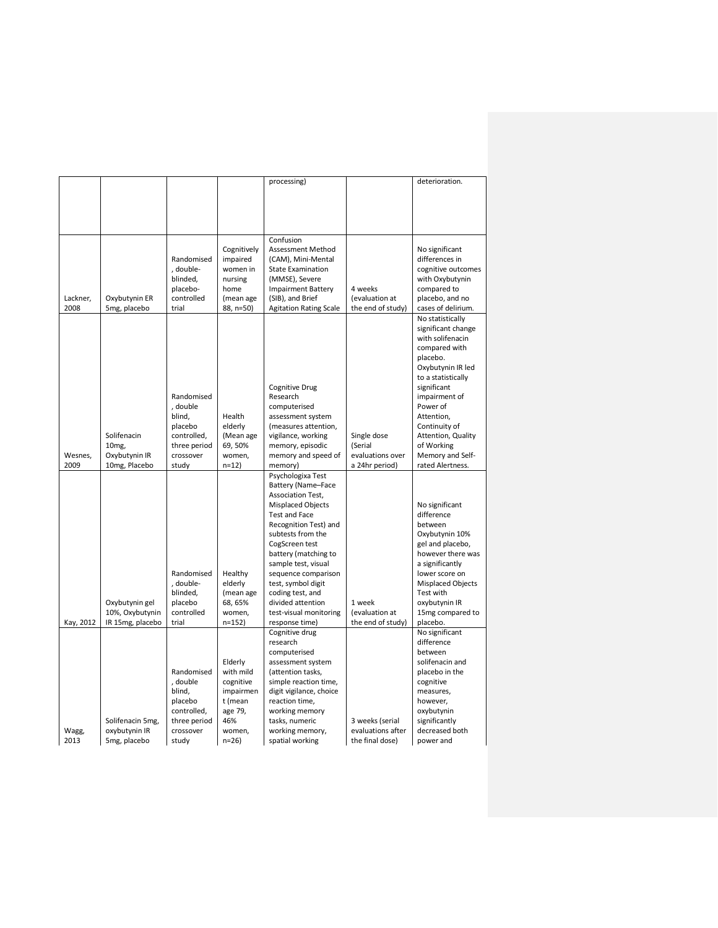|           |                  |              |             | processing)                   |                   | deterioration.     |
|-----------|------------------|--------------|-------------|-------------------------------|-------------------|--------------------|
|           |                  |              |             |                               |                   |                    |
|           |                  |              |             |                               |                   |                    |
|           |                  |              |             |                               |                   |                    |
|           |                  |              |             |                               |                   |                    |
|           |                  |              |             |                               |                   |                    |
|           |                  |              |             | Confusion                     |                   |                    |
|           |                  |              | Cognitively | Assessment Method             |                   | No significant     |
|           |                  | Randomised   | impaired    | (CAM), Mini-Mental            |                   | differences in     |
|           |                  | , double-    | women in    | <b>State Examination</b>      |                   | cognitive outcomes |
|           |                  | blinded,     | nursing     | (MMSE), Severe                |                   | with Oxybutynin    |
|           |                  | placebo-     | home        | <b>Impairment Battery</b>     | 4 weeks           | compared to        |
| Lackner,  | Oxybutynin ER    | controlled   | (mean age   | (SIB), and Brief              | (evaluation at    | placebo, and no    |
| 2008      | 5mg, placebo     | trial        | 88, n=50)   | <b>Agitation Rating Scale</b> | the end of study) | cases of delirium. |
|           |                  |              |             |                               |                   | No statistically   |
|           |                  |              |             |                               |                   | significant change |
|           |                  |              |             |                               |                   | with solifenacin   |
|           |                  |              |             |                               |                   | compared with      |
|           |                  |              |             |                               |                   | placebo.           |
|           |                  |              |             |                               |                   | Oxybutynin IR led  |
|           |                  |              |             |                               |                   | to a statistically |
|           |                  |              |             | Cognitive Drug                |                   | significant        |
|           |                  | Randomised   |             | Research                      |                   | impairment of      |
|           |                  | , double     |             | computerised                  |                   | Power of           |
|           |                  | blind,       | Health      | assessment system             |                   | Attention,         |
|           |                  | placebo      | elderly     | (measures attention,          |                   | Continuity of      |
|           | Solifenacin      | controlled,  | (Mean age   | vigilance, working            | Single dose       | Attention, Quality |
|           | 10 <sub>mg</sub> | three period | 69,50%      | memory, episodic              | (Serial           | of Working         |
| Wesnes,   | Oxybutynin IR    | crossover    | women,      | memory and speed of           | evaluations over  | Memory and Self-   |
| 2009      | 10mg, Placebo    | study        | $n=12$      | memory)                       | a 24hr period)    | rated Alertness.   |
|           |                  |              |             | Psychologixa Test             |                   |                    |
|           |                  |              |             | Battery (Name-Face            |                   |                    |
|           |                  |              |             | Association Test,             |                   |                    |
|           |                  |              |             | Misplaced Objects             |                   | No significant     |
|           |                  |              |             | Test and Face                 |                   | difference         |
|           |                  |              |             | Recognition Test) and         |                   | between            |
|           |                  |              |             | subtests from the             |                   | Oxybutynin 10%     |
|           |                  |              |             | CogScreen test                |                   | gel and placebo,   |
|           |                  |              |             | battery (matching to          |                   | however there was  |
|           |                  |              |             | sample test, visual           |                   | a significantly    |
|           |                  | Randomised   | Healthy     | sequence comparison           |                   | lower score on     |
|           |                  | , double-    | elderly     | test, symbol digit            |                   | Misplaced Objects  |
|           |                  | blinded,     | (mean age   | coding test, and              |                   | Test with          |
|           | Oxybutynin gel   | placebo      | 68, 65%     | divided attention             | 1 week            | oxybutynin IR      |
|           | 10%, Oxybutynin  | controlled   | women,      | test-visual monitoring        | (evaluation at    | 15mg compared to   |
| Kay, 2012 | IR 15mg, placebo | trial        | $n=152$     | response time)                | the end of study) | placebo.           |
|           |                  |              |             | Cognitive drug                |                   | No significant     |
|           |                  |              |             | research                      |                   | difference         |
|           |                  |              |             | computerised                  |                   | between            |
|           |                  |              | Elderly     | assessment system             |                   | solifenacin and    |
|           |                  | Randomised   | with mild   | (attention tasks,             |                   | placebo in the     |
|           |                  | , double     | cognitive   | simple reaction time,         |                   | cognitive          |
|           |                  | blind,       | impairmen   | digit vigilance, choice       |                   | measures,          |
|           |                  | placebo      | t (mean     | reaction time,                |                   | however,           |
|           |                  | controlled,  | age 79,     | working memory                |                   | oxybutynin         |
|           | Solifenacin 5mg, | three period | 46%         | tasks, numeric                | 3 weeks (serial   | significantly      |
| Wagg,     | oxybutynin IR    | crossover    | women,      | working memory,               | evaluations after | decreased both     |
| 2013      | 5mg, placebo     | study        | $n=26$      | spatial working               | the final dose)   | power and          |
|           |                  |              |             |                               |                   |                    |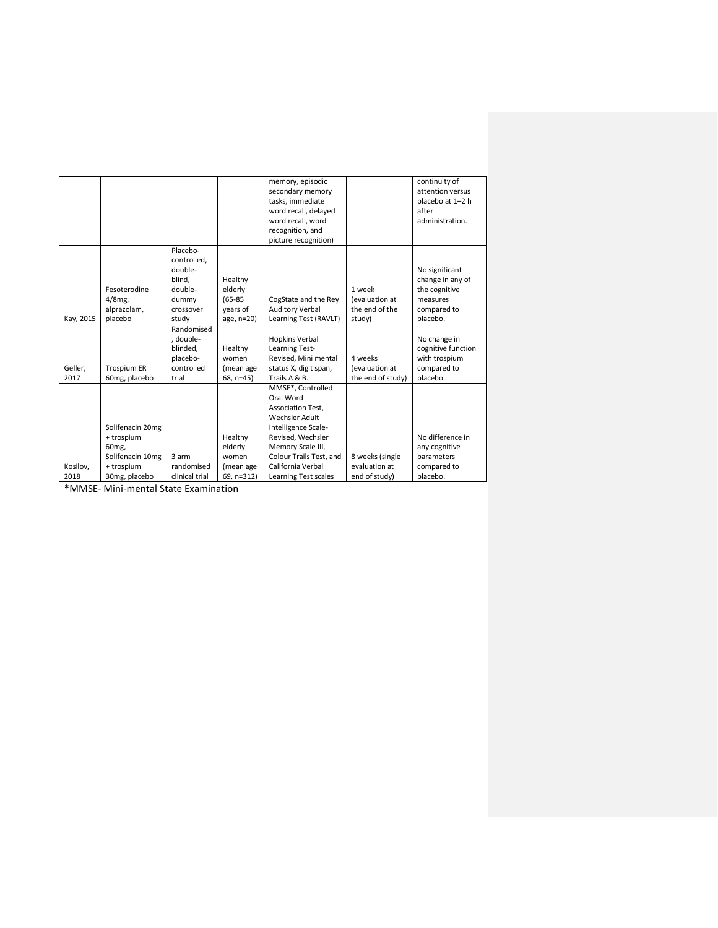|           |                    |                |             | memory, episodic        |                   | continuity of      |
|-----------|--------------------|----------------|-------------|-------------------------|-------------------|--------------------|
|           |                    |                |             | secondary memory        |                   | attention versus   |
|           |                    |                |             | tasks, immediate        |                   | placebo at 1-2 h   |
|           |                    |                |             | word recall, delayed    |                   | after              |
|           |                    |                |             | word recall, word       |                   | administration.    |
|           |                    |                |             | recognition, and        |                   |                    |
|           |                    |                |             | picture recognition)    |                   |                    |
|           |                    | Placebo-       |             |                         |                   |                    |
|           |                    | controlled.    |             |                         |                   |                    |
|           |                    | double-        |             |                         |                   | No significant     |
|           |                    | blind,         | Healthy     |                         |                   | change in any of   |
|           | Fesoterodine       | double-        | elderly     |                         | 1 week            | the cognitive      |
|           | $4/8$ mg,          | dummy          | $(65 - 85)$ | CogState and the Rey    | (evaluation at    | measures           |
|           | alprazolam,        | crossover      | vears of    | <b>Auditory Verbal</b>  | the end of the    | compared to        |
| Kay, 2015 | placebo            | study          | age, n=20)  | Learning Test (RAVLT)   | study)            | placebo.           |
|           |                    | Randomised     |             |                         |                   |                    |
|           |                    | , double-      |             | <b>Hopkins Verbal</b>   |                   | No change in       |
|           |                    | blinded.       | Healthy     | Learning Test-          |                   | cognitive function |
|           |                    | placebo-       | women       | Revised, Mini mental    | 4 weeks           | with trospium      |
| Geller,   | <b>Trospium ER</b> | controlled     | (mean age   | status X, digit span,   | (evaluation at    | compared to        |
| 2017      | 60mg, placebo      | trial          | 68, n=45)   | Trails A & B.           | the end of study) | placebo.           |
|           |                    |                |             | MMSE*, Controlled       |                   |                    |
|           |                    |                |             | Oral Word               |                   |                    |
|           |                    |                |             | Association Test.       |                   |                    |
|           |                    |                |             | Wechsler Adult          |                   |                    |
|           | Solifenacin 20mg   |                |             | Intelligence Scale-     |                   |                    |
|           | + trospium         |                | Healthy     | Revised, Wechsler       |                   | No difference in   |
|           | 60 <sub>mg</sub>   |                | elderly     | Memory Scale III,       |                   | any cognitive      |
|           | Solifenacin 10mg   | 3 arm          | women       | Colour Trails Test, and | 8 weeks (single   | parameters         |
| Kosilov,  | + trospium         | randomised     | (mean age   | California Verbal       | evaluation at     | compared to        |
| 2018      | 30mg, placebo      | clinical trial | 69, n=312)  | Learning Test scales    | end of study)     | placebo.           |

\*MMSE- Mini-mental State Examination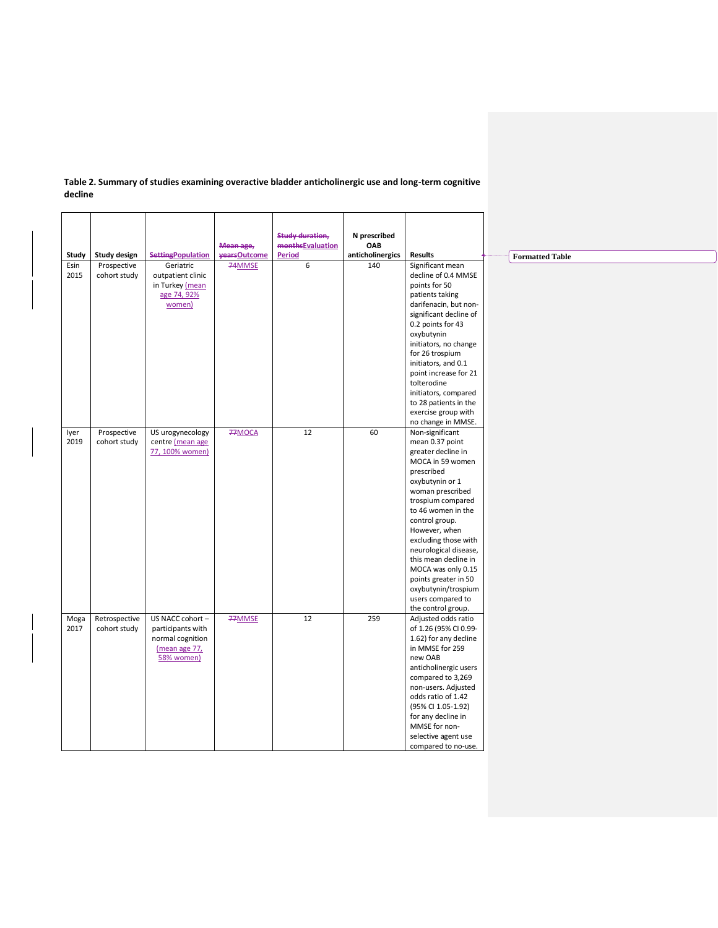|       |               |                          |                           | <b>Study duration,</b>                   | N prescribed            |                                              |
|-------|---------------|--------------------------|---------------------------|------------------------------------------|-------------------------|----------------------------------------------|
| Study | Study design  | <b>SettingPopulation</b> | Mean age,<br>vearsOutcome | <b>monthsEvaluation</b><br><b>Period</b> | OAB<br>anticholinergics | <b>Results</b>                               |
| Esin  | Prospective   | Geriatric                | 74MMSE                    | 6                                        | 140                     | Significant mean                             |
| 2015  | cohort study  | outpatient clinic        |                           |                                          |                         | decline of 0.4 MMSE                          |
|       |               | in Turkey (mean          |                           |                                          |                         | points for 50                                |
|       |               | age 74, 92%              |                           |                                          |                         | patients taking                              |
|       |               | women)                   |                           |                                          |                         | darifenacin, but non-                        |
|       |               |                          |                           |                                          |                         | significant decline of                       |
|       |               |                          |                           |                                          |                         | 0.2 points for 43                            |
|       |               |                          |                           |                                          |                         | oxybutynin                                   |
|       |               |                          |                           |                                          |                         | initiators, no change                        |
|       |               |                          |                           |                                          |                         | for 26 trospium                              |
|       |               |                          |                           |                                          |                         | initiators, and 0.1<br>point increase for 21 |
|       |               |                          |                           |                                          |                         | tolterodine                                  |
|       |               |                          |                           |                                          |                         | initiators, compared                         |
|       |               |                          |                           |                                          |                         | to 28 patients in the                        |
|       |               |                          |                           |                                          |                         | exercise group with                          |
|       |               |                          |                           |                                          |                         | no change in MMSE.                           |
| lyer  | Prospective   | US urogynecology         | 77MOCA                    | 12                                       | 60                      | Non-significant                              |
| 2019  | cohort study  | centre (mean age         |                           |                                          |                         | mean 0.37 point                              |
|       |               | 77, 100% women)          |                           |                                          |                         | greater decline in                           |
|       |               |                          |                           |                                          |                         | MOCA in 59 women                             |
|       |               |                          |                           |                                          |                         | prescribed                                   |
|       |               |                          |                           |                                          |                         | oxybutynin or 1                              |
|       |               |                          |                           |                                          |                         | woman prescribed                             |
|       |               |                          |                           |                                          |                         | trospium compared                            |
|       |               |                          |                           |                                          |                         | to 46 women in the                           |
|       |               |                          |                           |                                          |                         | control group.                               |
|       |               |                          |                           |                                          |                         | However, when                                |
|       |               |                          |                           |                                          |                         | excluding those with                         |
|       |               |                          |                           |                                          |                         | neurological disease,                        |
|       |               |                          |                           |                                          |                         | this mean decline in                         |
|       |               |                          |                           |                                          |                         | MOCA was only 0.15                           |
|       |               |                          |                           |                                          |                         | points greater in 50<br>oxybutynin/trospium  |
|       |               |                          |                           |                                          |                         | users compared to                            |
|       |               |                          |                           |                                          |                         | the control group.                           |
| Moga  | Retrospective | US NACC cohort -         | 77MMSE                    | 12                                       | 259                     | Adjusted odds ratio                          |
| 2017  | cohort study  | participants with        |                           |                                          |                         | of 1.26 (95% CI 0.99-                        |
|       |               | normal cognition         |                           |                                          |                         | 1.62) for any decline                        |
|       |               | (mean age 77,            |                           |                                          |                         | in MMSE for 259                              |
|       |               | 58% women)               |                           |                                          |                         | new OAB                                      |
|       |               |                          |                           |                                          |                         | anticholinergic users                        |
|       |               |                          |                           |                                          |                         | compared to 3,269                            |
|       |               |                          |                           |                                          |                         | non-users. Adjusted                          |
|       |               |                          |                           |                                          |                         | odds ratio of 1.42                           |
|       |               |                          |                           |                                          |                         | (95% CI 1.05-1.92)                           |
|       |               |                          |                           |                                          |                         | for any decline in                           |
|       |               |                          |                           |                                          |                         | MMSE for non-                                |
|       |               |                          |                           |                                          |                         | selective agent use                          |
|       |               |                          |                           |                                          |                         | compared to no-use.                          |

## **Table 2. Summary of studies examining overactive bladder anticholinergic use and long-term cognitive decline**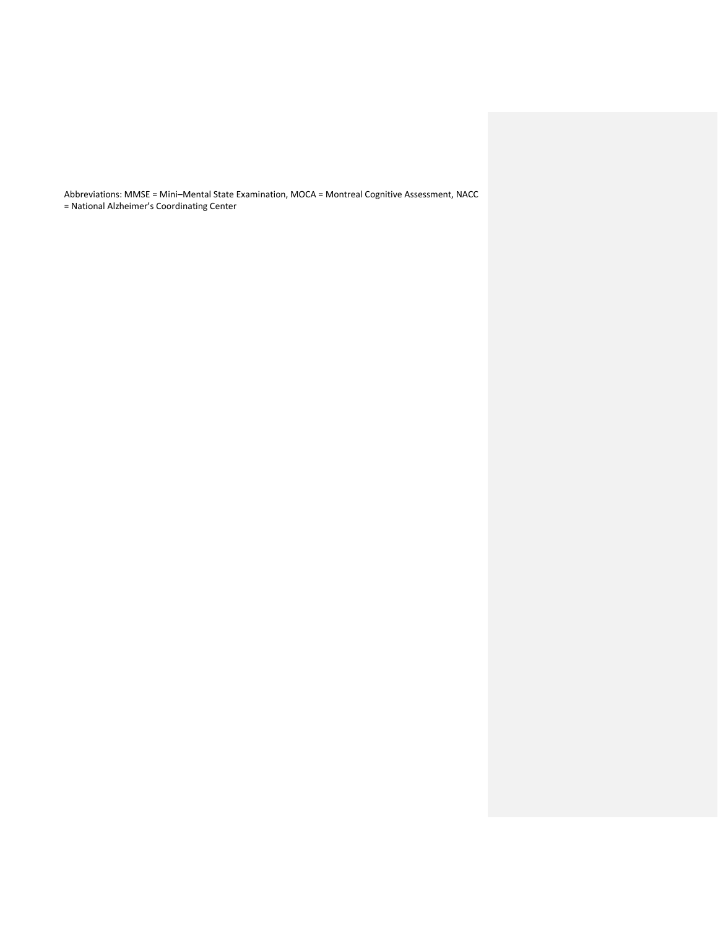Abbreviations: MMSE = Mini–Mental State Examination, MOCA = Montreal Cognitive Assessment, NACC = National Alzheimer's Coordinating Center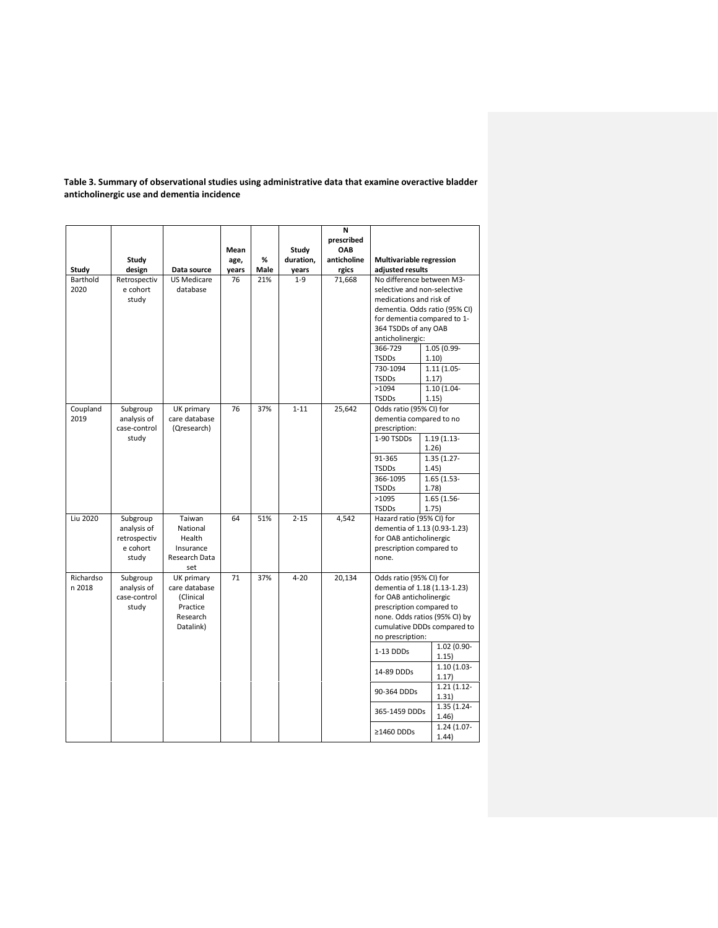| Study               | Study<br>design                                              | Data source                                                                   | Mean<br>age,<br>years | %<br>Male | Study<br>duration,<br>years | N<br>prescribed<br>OAB<br>anticholine<br>rgics | Multivariable regression<br>adjusted results                                                                                                                                                                                                                    |                                                                                                      |
|---------------------|--------------------------------------------------------------|-------------------------------------------------------------------------------|-----------------------|-----------|-----------------------------|------------------------------------------------|-----------------------------------------------------------------------------------------------------------------------------------------------------------------------------------------------------------------------------------------------------------------|------------------------------------------------------------------------------------------------------|
| Barthold<br>2020    | Retrospectiv<br>e cohort<br>study                            | <b>US Medicare</b><br>database                                                | 76                    | 21%       | $1 - 9$                     | 71,668                                         | No difference between M3-<br>selective and non-selective<br>medications and risk of<br>dementia. Odds ratio (95% CI)<br>for dementia compared to 1-<br>364 TSDDs of any OAB<br>anticholinergic:<br>366-729<br><b>TSDDs</b><br>730-1094<br><b>TSDDs</b><br>>1094 | 1.05 (0.99-<br>1.10)<br>$1.11(1.05 -$<br>1.17)<br>$1.10(1.04 -$                                      |
| Coupland<br>2019    | Subgroup<br>analysis of<br>case-control                      | UK primary<br>care database<br>(Qresearch)                                    | 76                    | 37%       | $1 - 11$                    | 25,642                                         | <b>TSDDs</b><br>Odds ratio (95% CI) for<br>dementia compared to no<br>prescription:                                                                                                                                                                             | 1.15)                                                                                                |
|                     | study                                                        |                                                                               |                       |           |                             |                                                | 1-90 TSDDs<br>91-365<br><b>TSDDs</b><br>366-1095<br><b>TSDDs</b><br>>1095<br><b>TSDDs</b>                                                                                                                                                                       | $1.19(1.13 -$<br>1.26)<br>$1.35(1.27 -$<br>1.45)<br>$1.65(1.53 -$<br>1.78)<br>$1.65(1.56 -$<br>1.75) |
| Liu 2020            | Subgroup<br>analysis of<br>retrospectiv<br>e cohort<br>study | Taiwan<br>National<br>Health<br>Insurance<br>Research Data<br>set             | 64                    | 51%       | $2 - 15$                    | 4,542                                          | Hazard ratio (95% CI) for<br>dementia of 1.13 (0.93-1.23)<br>for OAB anticholinergic<br>prescription compared to<br>none.                                                                                                                                       |                                                                                                      |
| Richardso<br>n 2018 | Subgroup<br>analysis of<br>case-control<br>study             | UK primary<br>care database<br>(Clinical<br>Practice<br>Research<br>Datalink) | 71                    | 37%       | $4 - 20$                    | 20,134                                         | Odds ratio (95% CI) for<br>dementia of 1.18 (1.13-1.23)<br>for OAB anticholinergic<br>prescription compared to<br>none. Odds ratios (95% CI) by<br>no prescription:                                                                                             | cumulative DDDs compared to                                                                          |
|                     |                                                              |                                                                               |                       |           |                             |                                                | 1-13 DDDs                                                                                                                                                                                                                                                       | 1.02 (0.90-<br>1.15)<br>$1.10(1.03 -$                                                                |
|                     |                                                              |                                                                               |                       |           |                             |                                                | 14-89 DDDs<br>90-364 DDDs                                                                                                                                                                                                                                       | 1.17)<br>$1.21(1.12 -$                                                                               |
|                     |                                                              |                                                                               |                       |           |                             |                                                | 365-1459 DDDs                                                                                                                                                                                                                                                   | 1.31)<br>1.35 (1.24-<br>1.46)                                                                        |
|                     |                                                              |                                                                               |                       |           |                             |                                                | ≥1460 DDDs                                                                                                                                                                                                                                                      | 1.24 (1.07-<br>1.44)                                                                                 |

**Table 3. Summary of observational studies using administrative data that examine overactive bladder anticholinergic use and dementia incidence**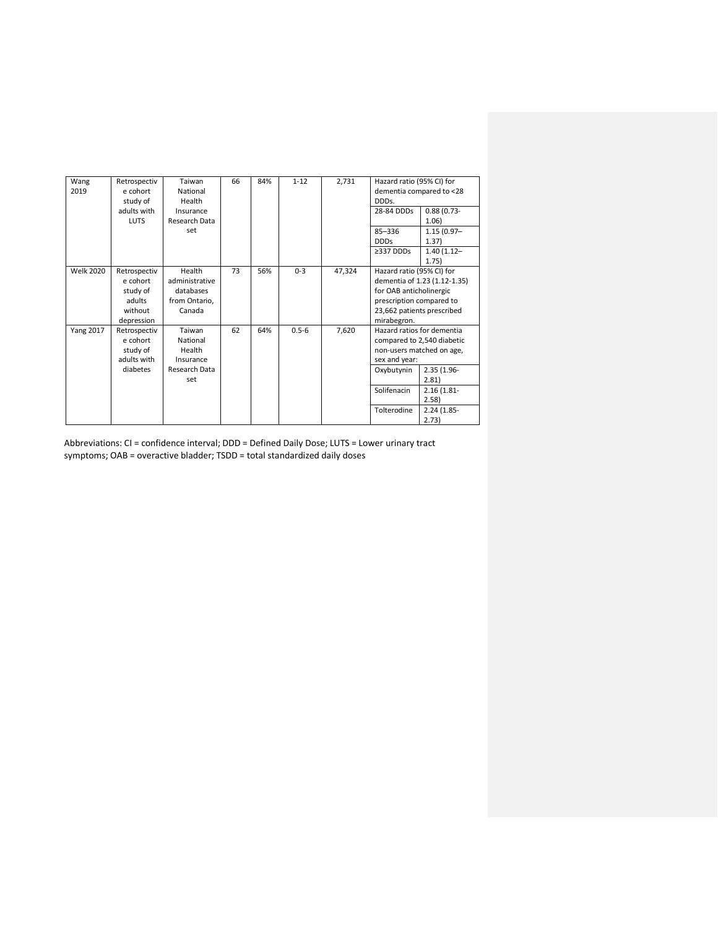| $1 - 12$<br>Taiwan<br>66<br>84%<br>2,731<br>Hazard ratio (95% CI) for<br>Wang<br>Retrospectiv<br>e cohort<br>dementia compared to <28<br>2019<br>National<br>study of<br>Health<br>DDDs.<br>adults with<br>$0.88(0.73 -$<br>28-84 DDDs<br>Insurance<br><b>LUTS</b><br>Research Data<br>1.06)<br>set<br>$85 - 336$<br>$1.15(0.97 -$<br><b>DDDs</b><br>1.37)<br>$\geq$ 337 DDDs<br>$1.40(1.12 -$<br>1.75)<br>Health<br>73<br>56%<br>$0 - 3$<br><b>Welk 2020</b><br>47,324<br>Hazard ratio (95% CI) for<br>Retrospectiv<br>e cohort<br>administrative<br>dementia of 1.23 (1.12-1.35)<br>for OAB anticholinergic<br>study of<br>databases<br>prescription compared to<br>adults<br>from Ontario,<br>Canada<br>without<br>23,662 patients prescribed<br>depression<br>mirabegron.<br>62<br>$0.5 - 6$<br><b>Yang 2017</b><br>64%<br>7,620<br>Hazard ratios for dementia<br>Retrospectiv<br>Taiwan<br>e cohort<br>National<br>compared to 2,540 diabetic<br>study of<br>Health<br>non-users matched on age,<br>adults with<br>sex and year:<br>Insurance<br>diabetes<br>Research Data<br>Oxybutynin<br>$2.35(1.96 -$<br>2.81<br>set<br>Solifenacin<br>$2.16(1.81 -$<br>2.58)<br>Tolterodine<br>$2.24(1.85 -$<br>2.73) |  |  |  |  |  |  |
|-----------------------------------------------------------------------------------------------------------------------------------------------------------------------------------------------------------------------------------------------------------------------------------------------------------------------------------------------------------------------------------------------------------------------------------------------------------------------------------------------------------------------------------------------------------------------------------------------------------------------------------------------------------------------------------------------------------------------------------------------------------------------------------------------------------------------------------------------------------------------------------------------------------------------------------------------------------------------------------------------------------------------------------------------------------------------------------------------------------------------------------------------------------------------------------------------------------------|--|--|--|--|--|--|
|                                                                                                                                                                                                                                                                                                                                                                                                                                                                                                                                                                                                                                                                                                                                                                                                                                                                                                                                                                                                                                                                                                                                                                                                                 |  |  |  |  |  |  |
|                                                                                                                                                                                                                                                                                                                                                                                                                                                                                                                                                                                                                                                                                                                                                                                                                                                                                                                                                                                                                                                                                                                                                                                                                 |  |  |  |  |  |  |
|                                                                                                                                                                                                                                                                                                                                                                                                                                                                                                                                                                                                                                                                                                                                                                                                                                                                                                                                                                                                                                                                                                                                                                                                                 |  |  |  |  |  |  |
|                                                                                                                                                                                                                                                                                                                                                                                                                                                                                                                                                                                                                                                                                                                                                                                                                                                                                                                                                                                                                                                                                                                                                                                                                 |  |  |  |  |  |  |
|                                                                                                                                                                                                                                                                                                                                                                                                                                                                                                                                                                                                                                                                                                                                                                                                                                                                                                                                                                                                                                                                                                                                                                                                                 |  |  |  |  |  |  |
|                                                                                                                                                                                                                                                                                                                                                                                                                                                                                                                                                                                                                                                                                                                                                                                                                                                                                                                                                                                                                                                                                                                                                                                                                 |  |  |  |  |  |  |
|                                                                                                                                                                                                                                                                                                                                                                                                                                                                                                                                                                                                                                                                                                                                                                                                                                                                                                                                                                                                                                                                                                                                                                                                                 |  |  |  |  |  |  |
|                                                                                                                                                                                                                                                                                                                                                                                                                                                                                                                                                                                                                                                                                                                                                                                                                                                                                                                                                                                                                                                                                                                                                                                                                 |  |  |  |  |  |  |
|                                                                                                                                                                                                                                                                                                                                                                                                                                                                                                                                                                                                                                                                                                                                                                                                                                                                                                                                                                                                                                                                                                                                                                                                                 |  |  |  |  |  |  |
|                                                                                                                                                                                                                                                                                                                                                                                                                                                                                                                                                                                                                                                                                                                                                                                                                                                                                                                                                                                                                                                                                                                                                                                                                 |  |  |  |  |  |  |
|                                                                                                                                                                                                                                                                                                                                                                                                                                                                                                                                                                                                                                                                                                                                                                                                                                                                                                                                                                                                                                                                                                                                                                                                                 |  |  |  |  |  |  |
|                                                                                                                                                                                                                                                                                                                                                                                                                                                                                                                                                                                                                                                                                                                                                                                                                                                                                                                                                                                                                                                                                                                                                                                                                 |  |  |  |  |  |  |
|                                                                                                                                                                                                                                                                                                                                                                                                                                                                                                                                                                                                                                                                                                                                                                                                                                                                                                                                                                                                                                                                                                                                                                                                                 |  |  |  |  |  |  |
|                                                                                                                                                                                                                                                                                                                                                                                                                                                                                                                                                                                                                                                                                                                                                                                                                                                                                                                                                                                                                                                                                                                                                                                                                 |  |  |  |  |  |  |
|                                                                                                                                                                                                                                                                                                                                                                                                                                                                                                                                                                                                                                                                                                                                                                                                                                                                                                                                                                                                                                                                                                                                                                                                                 |  |  |  |  |  |  |
|                                                                                                                                                                                                                                                                                                                                                                                                                                                                                                                                                                                                                                                                                                                                                                                                                                                                                                                                                                                                                                                                                                                                                                                                                 |  |  |  |  |  |  |
|                                                                                                                                                                                                                                                                                                                                                                                                                                                                                                                                                                                                                                                                                                                                                                                                                                                                                                                                                                                                                                                                                                                                                                                                                 |  |  |  |  |  |  |
|                                                                                                                                                                                                                                                                                                                                                                                                                                                                                                                                                                                                                                                                                                                                                                                                                                                                                                                                                                                                                                                                                                                                                                                                                 |  |  |  |  |  |  |
|                                                                                                                                                                                                                                                                                                                                                                                                                                                                                                                                                                                                                                                                                                                                                                                                                                                                                                                                                                                                                                                                                                                                                                                                                 |  |  |  |  |  |  |
|                                                                                                                                                                                                                                                                                                                                                                                                                                                                                                                                                                                                                                                                                                                                                                                                                                                                                                                                                                                                                                                                                                                                                                                                                 |  |  |  |  |  |  |
|                                                                                                                                                                                                                                                                                                                                                                                                                                                                                                                                                                                                                                                                                                                                                                                                                                                                                                                                                                                                                                                                                                                                                                                                                 |  |  |  |  |  |  |
|                                                                                                                                                                                                                                                                                                                                                                                                                                                                                                                                                                                                                                                                                                                                                                                                                                                                                                                                                                                                                                                                                                                                                                                                                 |  |  |  |  |  |  |
|                                                                                                                                                                                                                                                                                                                                                                                                                                                                                                                                                                                                                                                                                                                                                                                                                                                                                                                                                                                                                                                                                                                                                                                                                 |  |  |  |  |  |  |
|                                                                                                                                                                                                                                                                                                                                                                                                                                                                                                                                                                                                                                                                                                                                                                                                                                                                                                                                                                                                                                                                                                                                                                                                                 |  |  |  |  |  |  |
|                                                                                                                                                                                                                                                                                                                                                                                                                                                                                                                                                                                                                                                                                                                                                                                                                                                                                                                                                                                                                                                                                                                                                                                                                 |  |  |  |  |  |  |

Abbreviations: CI = confidence interval; DDD = Defined Daily Dose; LUTS = Lower urinary tract symptoms; OAB = overactive bladder; TSDD = total standardized daily doses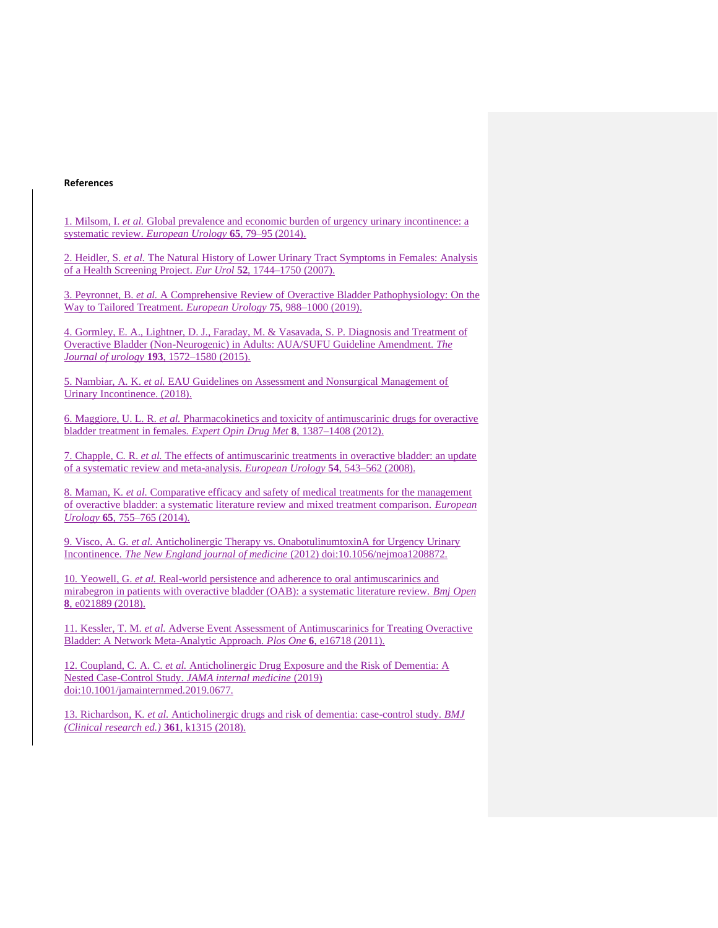#### **References**

1. Milsom, I. *et al.* Global prevalence and economic burden of urgency urinary incontinence: a systematic review. *European Urology* **65**, 79–95 (2014).

2. Heidler, S. *et al.* The Natural History of Lower Urinary Tract Symptoms in Females: Analysis of a Health Screening Project. *Eur Urol* **52**, 1744–1750 (2007).

3. Peyronnet, B. *et al.* A Comprehensive Review of Overactive Bladder Pathophysiology: On the Way to Tailored Treatment. *European Urology* **75**, 988–1000 (2019).

4. Gormley, E. A., Lightner, D. J., Faraday, M. & Vasavada, S. P. Diagnosis and Treatment of Overactive Bladder (Non-Neurogenic) in Adults: AUA/SUFU Guideline Amendment. *The Journal of urology* **193**, 1572–1580 (2015).

5. Nambiar, A. K. *et al.* EAU Guidelines on Assessment and Nonsurgical Management of Urinary Incontinence. (2018).

6. Maggiore, U. L. R. *et al.* Pharmacokinetics and toxicity of antimuscarinic drugs for overactive bladder treatment in females. *Expert Opin Drug Met* **8**, 1387–1408 (2012).

7. Chapple, C. R. *et al.* The effects of antimuscarinic treatments in overactive bladder: an update of a systematic review and meta-analysis. *European Urology* **54**, 543–562 (2008).

8. Maman, K. *et al.* Comparative efficacy and safety of medical treatments for the management of overactive bladder: a systematic literature review and mixed treatment comparison. *European Urology* **65**, 755–765 (2014).

9. Visco, A. G. *et al.* Anticholinergic Therapy vs. OnabotulinumtoxinA for Urgency Urinary Incontinence. *The New England journal of medicine* (2012) doi:10.1056/nejmoa1208872.

10. Yeowell, G. *et al.* Real-world persistence and adherence to oral antimuscarinics and mirabegron in patients with overactive bladder (OAB): a systematic literature review. *Bmj Open* **8**, e021889 (2018).

11. Kessler, T. M. *et al.* Adverse Event Assessment of Antimuscarinics for Treating Overactive Bladder: A Network Meta-Analytic Approach. *Plos One* **6**, e16718 (2011).

12. Coupland, C. A. C. *et al.* Anticholinergic Drug Exposure and the Risk of Dementia: A Nested Case-Control Study. *JAMA internal medicine* (2019) doi:10.1001/jamainternmed.2019.0677.

13. Richardson, K. *et al.* Anticholinergic drugs and risk of dementia: case-control study. *BMJ (Clinical research ed.)* **361**, k1315 (2018).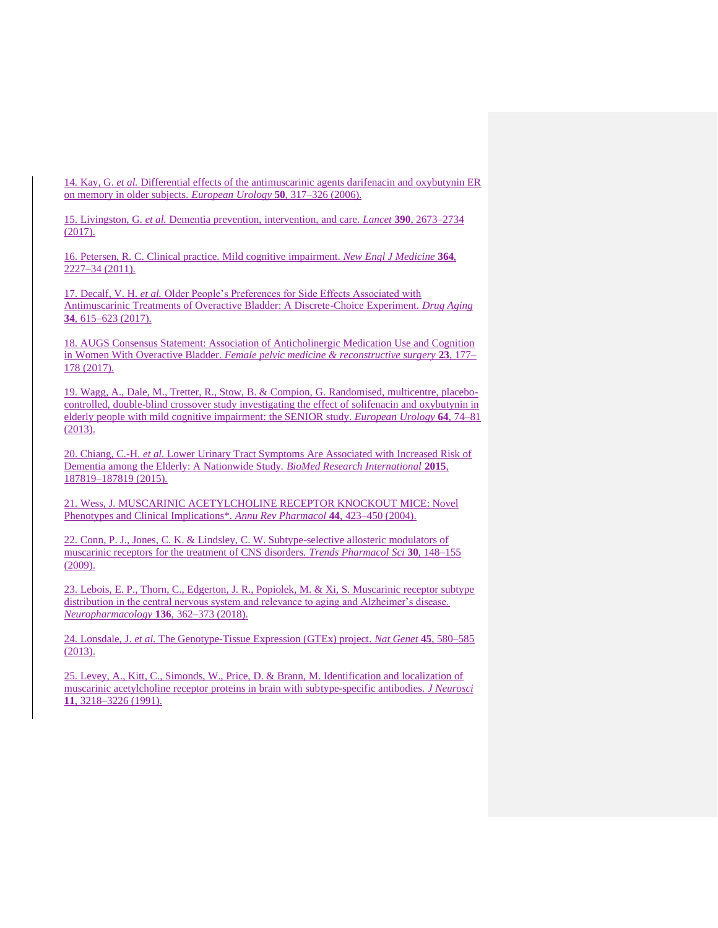14. Kay, G. *et al.* Differential effects of the antimuscarinic agents darifenacin and oxybutynin ER on memory in older subjects. *European Urology* **50**, 317–326 (2006).

15. Livingston, G. *et al.* Dementia prevention, intervention, and care. *Lancet* **390**, 2673–2734 (2017).

16. Petersen, R. C. Clinical practice. Mild cognitive impairment. *New Engl J Medicine* **364**, 2227–34 (2011).

17. Decalf, V. H. *et al.* Older People's Preferences for Side Effects Associated with Antimuscarinic Treatments of Overactive Bladder: A Discrete-Choice Experiment. *Drug Aging* **34**, 615–623 (2017).

18. AUGS Consensus Statement: Association of Anticholinergic Medication Use and Cognition in Women With Overactive Bladder. *Female pelvic medicine & reconstructive surgery* **23**, 177– 178 (2017).

19. Wagg, A., Dale, M., Tretter, R., Stow, B. & Compion, G. Randomised, multicentre, placebocontrolled, double-blind crossover study investigating the effect of solifenacin and oxybutynin in elderly people with mild cognitive impairment: the SENIOR study. *European Urology* **64**, 74–81  $(2013).$ 

20. Chiang, C.-H. *et al.* Lower Urinary Tract Symptoms Are Associated with Increased Risk of Dementia among the Elderly: A Nationwide Study. *BioMed Research International* **2015**, 187819–187819 (2015).

21. Wess, J. MUSCARINIC ACETYLCHOLINE RECEPTOR KNOCKOUT MICE: Novel Phenotypes and Clinical Implications\*. *Annu Rev Pharmacol* **44**, 423–450 (2004).

22. Conn, P. J., Jones, C. K. & Lindsley, C. W. Subtype-selective allosteric modulators of muscarinic receptors for the treatment of CNS disorders. *Trends Pharmacol Sci* **30**, 148–155 (2009).

23. Lebois, E. P., Thorn, C., Edgerton, J. R., Popiolek, M. & Xi, S. Muscarinic receptor subtype distribution in the central nervous system and relevance to aging and Alzheimer's disease. *Neuropharmacology* **136**, 362–373 (2018).

24. Lonsdale, J. *et al.* The Genotype-Tissue Expression (GTEx) project. *Nat Genet* **45**, 580–585 (2013).

25. Levey, A., Kitt, C., Simonds, W., Price, D. & Brann, M. Identification and localization of muscarinic acetylcholine receptor proteins in brain with subtype-specific antibodies. *J Neurosci* **11**, 3218–3226 (1991).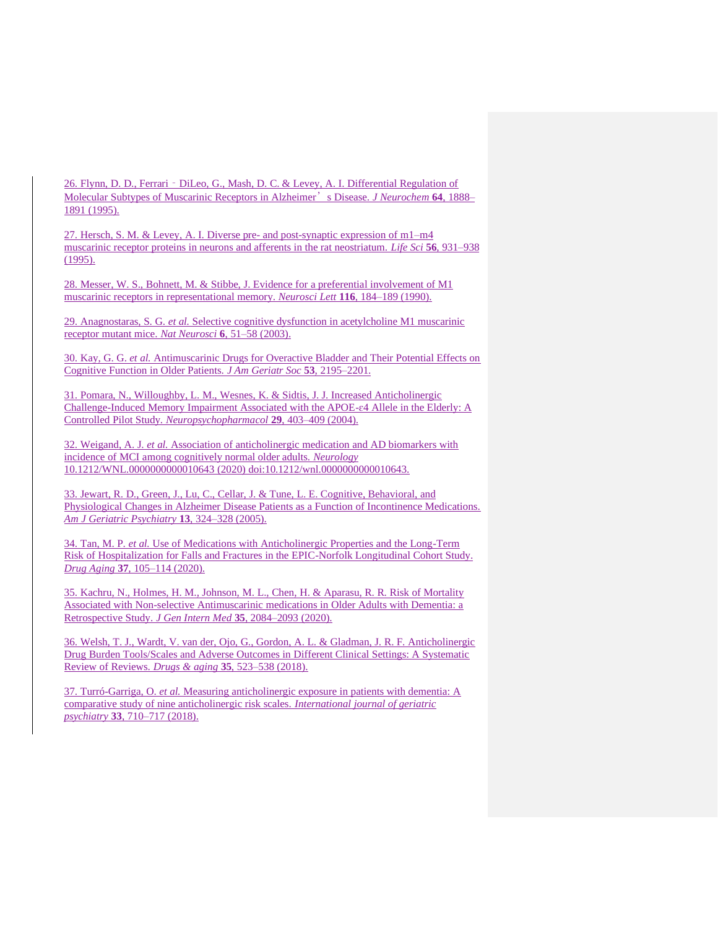26. Flynn, D. D., Ferrari - DiLeo, G., Mash, D. C. & Levey, A. I. Differential Regulation of Molecular Subtypes of Muscarinic Receptors in Alzheimer's Disease. *J Neurochem* **64**, 1888– 1891 (1995).

27. Hersch, S. M. & Levey, A. I. Diverse pre- and post-synaptic expression of m1–m4 muscarinic receptor proteins in neurons and afferents in the rat neostriatum. *Life Sci* **56**, 931–938 (1995).

28. Messer, W. S., Bohnett, M. & Stibbe, J. Evidence for a preferential involvement of M1 muscarinic receptors in representational memory. *Neurosci Lett* **116**, 184–189 (1990).

29. Anagnostaras, S. G. *et al.* Selective cognitive dysfunction in acetylcholine M1 muscarinic receptor mutant mice. *Nat Neurosci* **6**, 51–58 (2003).

30. Kay, G. G. *et al.* Antimuscarinic Drugs for Overactive Bladder and Their Potential Effects on Cognitive Function in Older Patients. *J Am Geriatr Soc* **53**, 2195–2201.

31. Pomara, N., Willoughby, L. M., Wesnes, K. & Sidtis, J. J. Increased Anticholinergic Challenge-Induced Memory Impairment Associated with the APOE-ɛ4 Allele in the Elderly: A Controlled Pilot Study. *Neuropsychopharmacol* **29**, 403–409 (2004).

32. Weigand, A. J. *et al.* Association of anticholinergic medication and AD biomarkers with incidence of MCI among cognitively normal older adults. *Neurology* 10.1212/WNL.0000000000010643 (2020) doi:10.1212/wnl.0000000000010643.

33. Jewart, R. D., Green, J., Lu, C., Cellar, J. & Tune, L. E. Cognitive, Behavioral, and Physiological Changes in Alzheimer Disease Patients as a Function of Incontinence Medications. *Am J Geriatric Psychiatry* **13**, 324–328 (2005).

34. Tan, M. P. *et al.* Use of Medications with Anticholinergic Properties and the Long-Term Risk of Hospitalization for Falls and Fractures in the EPIC-Norfolk Longitudinal Cohort Study. *Drug Aging* **37**, 105–114 (2020).

35. Kachru, N., Holmes, H. M., Johnson, M. L., Chen, H. & Aparasu, R. R. Risk of Mortality Associated with Non-selective Antimuscarinic medications in Older Adults with Dementia: a Retrospective Study. *J Gen Intern Med* **35**, 2084–2093 (2020).

36. Welsh, T. J., Wardt, V. van der, Ojo, G., Gordon, A. L. & Gladman, J. R. F. Anticholinergic Drug Burden Tools/Scales and Adverse Outcomes in Different Clinical Settings: A Systematic Review of Reviews. *Drugs & aging* **35**, 523–538 (2018).

37. Turró-Garriga, O. *et al.* Measuring anticholinergic exposure in patients with dementia: A comparative study of nine anticholinergic risk scales. *International journal of geriatric psychiatry* **33**, 710–717 (2018).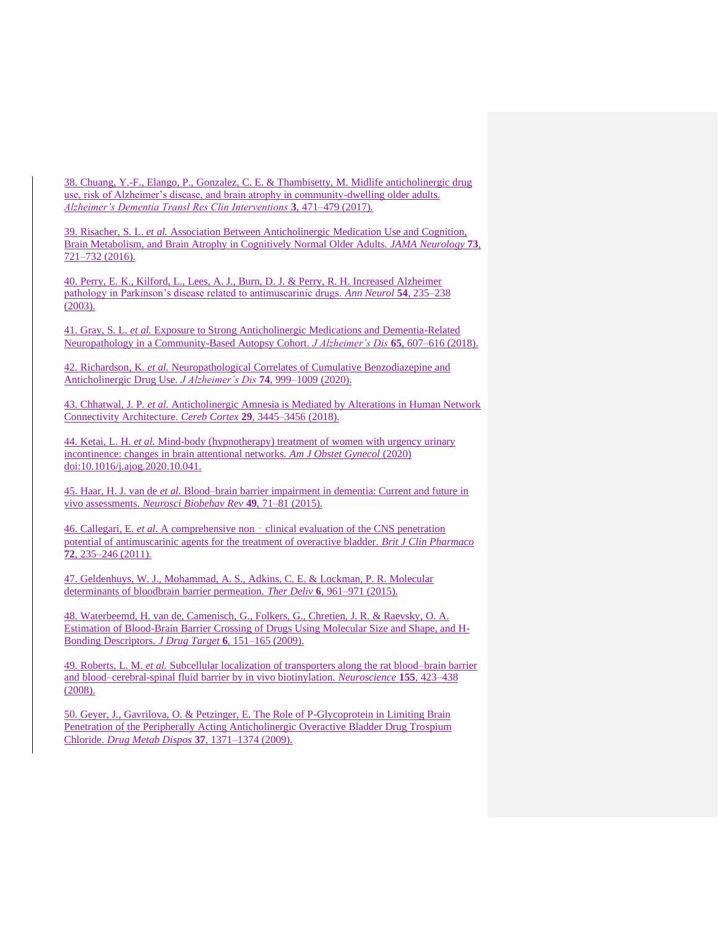38. Chuang, Y.-F., Elango, P., Gonzalez, C. E. & Thambisetty, M. Midlife anticholinergic drug use, risk of Alzheimer's disease, and brain atrophy in community-dwelling older adults. *Alzheimer's Dementia Transl Res Clin Interventions* **3**, 471–479 (2017).

39. Risacher, S. L. *et al.* Association Between Anticholinergic Medication Use and Cognition, Brain Metabolism, and Brain Atrophy in Cognitively Normal Older Adults. *JAMA Neurology* **73**, 721–732 (2016).

40. Perry, E. K., Kilford, L., Lees, A. J., Burn, D. J. & Perry, R. H. Increased Alzheimer pathology in Parkinson's disease related to antimuscarinic drugs. *Ann Neurol* **54**, 235–238 (2003).

41. Gray, S. L. *et al.* Exposure to Strong Anticholinergic Medications and Dementia-Related Neuropathology in a Community-Based Autopsy Cohort. *J Alzheimer's Dis* **65**, 607–616 (2018).

42. Richardson, K. *et al.* Neuropathological Correlates of Cumulative Benzodiazepine and Anticholinergic Drug Use. *J Alzheimer's Dis* **74**, 999–1009 (2020).

43. Chhatwal, J. P. *et al.* Anticholinergic Amnesia is Mediated by Alterations in Human Network Connectivity Architecture. *Cereb Cortex* **29**, 3445–3456 (2018).

44. Ketai, L. H. *et al.* Mind-body (hypnotherapy) treatment of women with urgency urinary incontinence: changes in brain attentional networks. *Am J Obstet Gynecol* (2020) doi:10.1016/j.ajog.2020.10.041.

45. Haar, H. J. van de *et al.* Blood–brain barrier impairment in dementia: Current and future in vivo assessments. *Neurosci Biobehav Rev* **49**, 71–81 (2015).

46. Callegari, E. *et al.* A comprehensive non‐clinical evaluation of the CNS penetration potential of antimuscarinic agents for the treatment of overactive bladder. *Brit J Clin Pharmaco* **72**, 235–246 (2011).

47. Geldenhuys, W. J., Mohammad, A. S., Adkins, C. E. & Lockman, P. R. Molecular determinants of bloodbrain barrier permeation. *Ther Deliv* **6**, 961–971 (2015).

48. Waterbeemd, H. van de, Camenisch, G., Folkers, G., Chretien, J. R. & Raevsky, O. A. Estimation of Blood-Brain Barrier Crossing of Drugs Using Molecular Size and Shape, and H-Bonding Descriptors. *J Drug Target* **6**, 151–165 (2009).

49. Roberts, L. M. *et al.* Subcellular localization of transporters along the rat blood–brain barrier and blood–cerebral-spinal fluid barrier by in vivo biotinylation. *Neuroscience* **155**, 423–438 (2008).

50. Geyer, J., Gavrilova, O. & Petzinger, E. The Role of P-Glycoprotein in Limiting Brain Penetration of the Peripherally Acting Anticholinergic Overactive Bladder Drug Trospium Chloride. *Drug Metab Dispos* **37**, 1371–1374 (2009).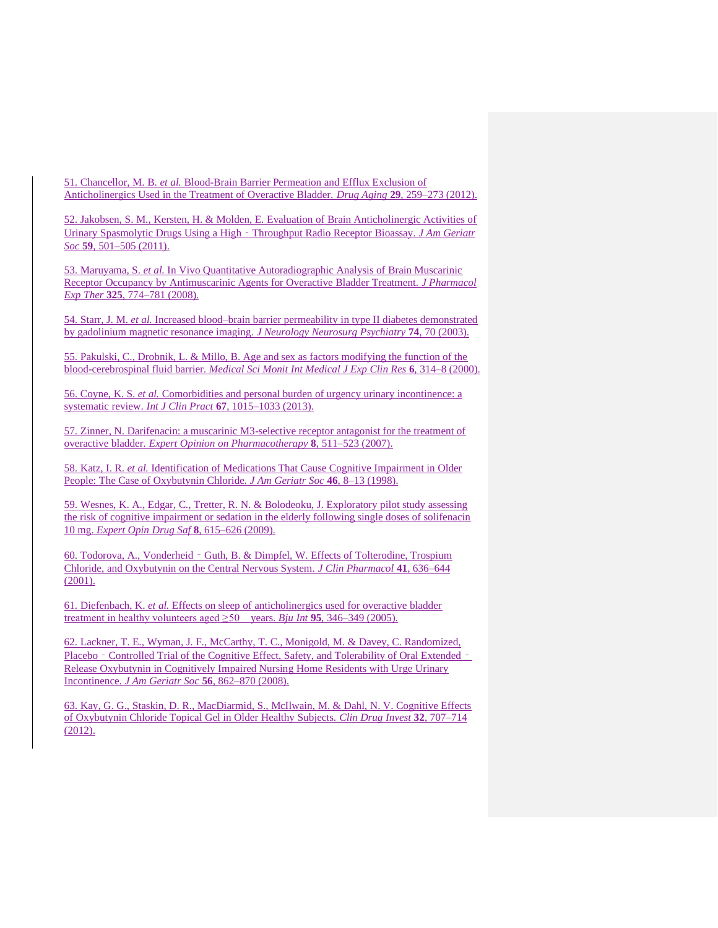51. Chancellor, M. B. *et al.* Blood-Brain Barrier Permeation and Efflux Exclusion of Anticholinergics Used in the Treatment of Overactive Bladder. *Drug Aging* **29**, 259–273 (2012).

52. Jakobsen, S. M., Kersten, H. & Molden, E. Evaluation of Brain Anticholinergic Activities of Urinary Spasmolytic Drugs Using a High‐Throughput Radio Receptor Bioassay. *J Am Geriatr Soc* **59**, 501–505 (2011).

53. Maruyama, S. *et al.* In Vivo Quantitative Autoradiographic Analysis of Brain Muscarinic Receptor Occupancy by Antimuscarinic Agents for Overactive Bladder Treatment. *J Pharmacol Exp Ther* **325**, 774–781 (2008).

54. Starr, J. M. *et al.* Increased blood–brain barrier permeability in type II diabetes demonstrated by gadolinium magnetic resonance imaging. *J Neurology Neurosurg Psychiatry* **74**, 70 (2003).

55. Pakulski, C., Drobnik, L. & Millo, B. Age and sex as factors modifying the function of the blood-cerebrospinal fluid barrier. *Medical Sci Monit Int Medical J Exp Clin Res* **6**, 314–8 (2000).

56. Coyne, K. S. *et al.* Comorbidities and personal burden of urgency urinary incontinence: a systematic review. *Int J Clin Pract* **67**, 1015–1033 (2013).

57. Zinner, N. Darifenacin: a muscarinic M3-selective receptor antagonist for the treatment of overactive bladder. *Expert Opinion on Pharmacotherapy* **8**, 511–523 (2007).

58. Katz, I. R. *et al.* Identification of Medications That Cause Cognitive Impairment in Older People: The Case of Oxybutynin Chloride. *J Am Geriatr Soc* **46**, 8–13 (1998).

59. Wesnes, K. A., Edgar, C., Tretter, R. N. & Bolodeoku, J. Exploratory pilot study assessing the risk of cognitive impairment or sedation in the elderly following single doses of solifenacin 10 mg. *Expert Opin Drug Saf* **8**, 615–626 (2009).

60. Todorova, A., Vonderheid‐Guth, B. & Dimpfel, W. Effects of Tolterodine, Trospium Chloride, and Oxybutynin on the Central Nervous System. *J Clin Pharmacol* **41**, 636–644  $(2001).$ 

61. Diefenbach, K. *et al.* Effects on sleep of anticholinergics used for overactive bladder treatment in healthy volunteers aged  $\geq 50$  years. *Bju Int* **95**, 346–349 (2005).

62. Lackner, T. E., Wyman, J. F., McCarthy, T. C., Monigold, M. & Davey, C. Randomized, Placebo - Controlled Trial of the Cognitive Effect, Safety, and Tolerability of Oral Extended -Release Oxybutynin in Cognitively Impaired Nursing Home Residents with Urge Urinary Incontinence. *J Am Geriatr Soc* **56**, 862–870 (2008).

63. Kay, G. G., Staskin, D. R., MacDiarmid, S., McIlwain, M. & Dahl, N. V. Cognitive Effects of Oxybutynin Chloride Topical Gel in Older Healthy Subjects. *Clin Drug Invest* **32**, 707–714 (2012).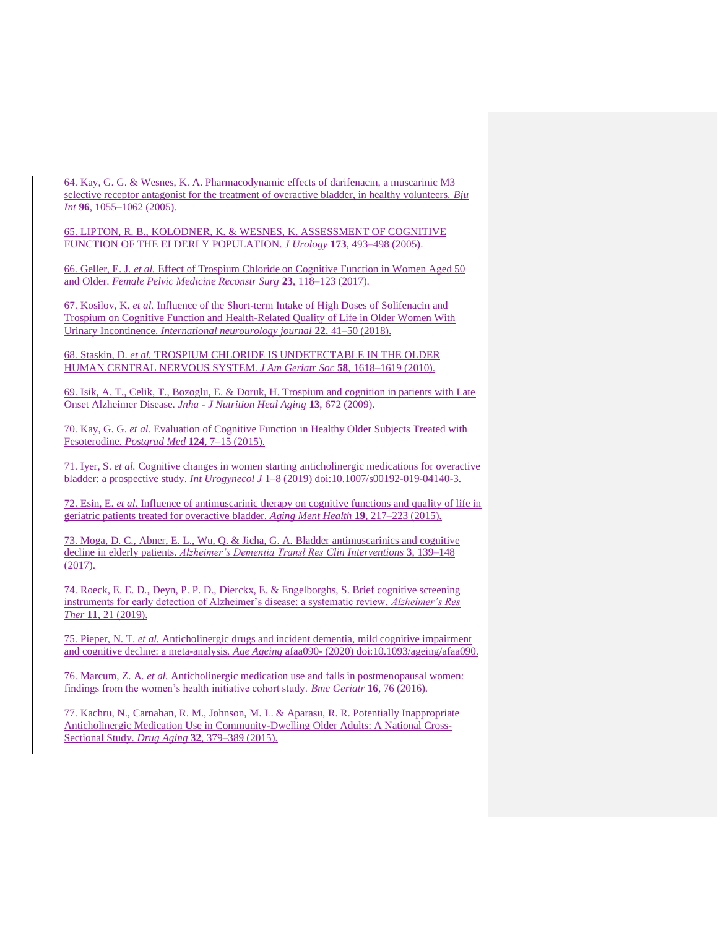64. Kay, G. G. & Wesnes, K. A. Pharmacodynamic effects of darifenacin, a muscarinic M3 selective receptor antagonist for the treatment of overactive bladder, in healthy volunteers. *Bju Int* **96**, 1055–1062 (2005).

65. LIPTON, R. B., KOLODNER, K. & WESNES, K. ASSESSMENT OF COGNITIVE FUNCTION OF THE ELDERLY POPULATION. *J Urology* **173**, 493–498 (2005).

66. Geller, E. J. *et al.* Effect of Trospium Chloride on Cognitive Function in Women Aged 50 and Older. *Female Pelvic Medicine Reconstr Surg* **23**, 118–123 (2017).

67. Kosilov, K. *et al.* Influence of the Short-term Intake of High Doses of Solifenacin and Trospium on Cognitive Function and Health-Related Quality of Life in Older Women With Urinary Incontinence. *International neurourology journal* **22**, 41–50 (2018).

68. Staskin, D. *et al.* TROSPIUM CHLORIDE IS UNDETECTABLE IN THE OLDER HUMAN CENTRAL NERVOUS SYSTEM. *J Am Geriatr Soc* **58**, 1618–1619 (2010).

69. Isik, A. T., Celik, T., Bozoglu, E. & Doruk, H. Trospium and cognition in patients with Late Onset Alzheimer Disease. *Jnha - J Nutrition Heal Aging* **13**, 672 (2009).

70. Kay, G. G. *et al.* Evaluation of Cognitive Function in Healthy Older Subjects Treated with Fesoterodine. *Postgrad Med* **124**, 7–15 (2015).

71. Iyer, S. *et al.* Cognitive changes in women starting anticholinergic medications for overactive bladder: a prospective study. *Int Urogynecol J* 1–8 (2019) doi:10.1007/s00192-019-04140-3.

72. Esin, E. *et al.* Influence of antimuscarinic therapy on cognitive functions and quality of life in geriatric patients treated for overactive bladder. *Aging Ment Health* **19**, 217–223 (2015).

73. Moga, D. C., Abner, E. L., Wu, Q. & Jicha, G. A. Bladder antimuscarinics and cognitive decline in elderly patients. *Alzheimer's Dementia Transl Res Clin Interventions* **3**, 139–148 (2017).

74. Roeck, E. E. D., Deyn, P. P. D., Dierckx, E. & Engelborghs, S. Brief cognitive screening instruments for early detection of Alzheimer's disease: a systematic review. *Alzheimer's Res Ther* **11**, 21 (2019).

75. Pieper, N. T. *et al.* Anticholinergic drugs and incident dementia, mild cognitive impairment and cognitive decline: a meta-analysis. *Age Ageing* afaa090- (2020) doi:10.1093/ageing/afaa090.

76. Marcum, Z. A. *et al.* Anticholinergic medication use and falls in postmenopausal women: findings from the women's health initiative cohort study. *Bmc Geriatr* **16**, 76 (2016).

77. Kachru, N., Carnahan, R. M., Johnson, M. L. & Aparasu, R. R. Potentially Inappropriate Anticholinergic Medication Use in Community-Dwelling Older Adults: A National Cross-Sectional Study. *Drug Aging* **32**, 379–389 (2015).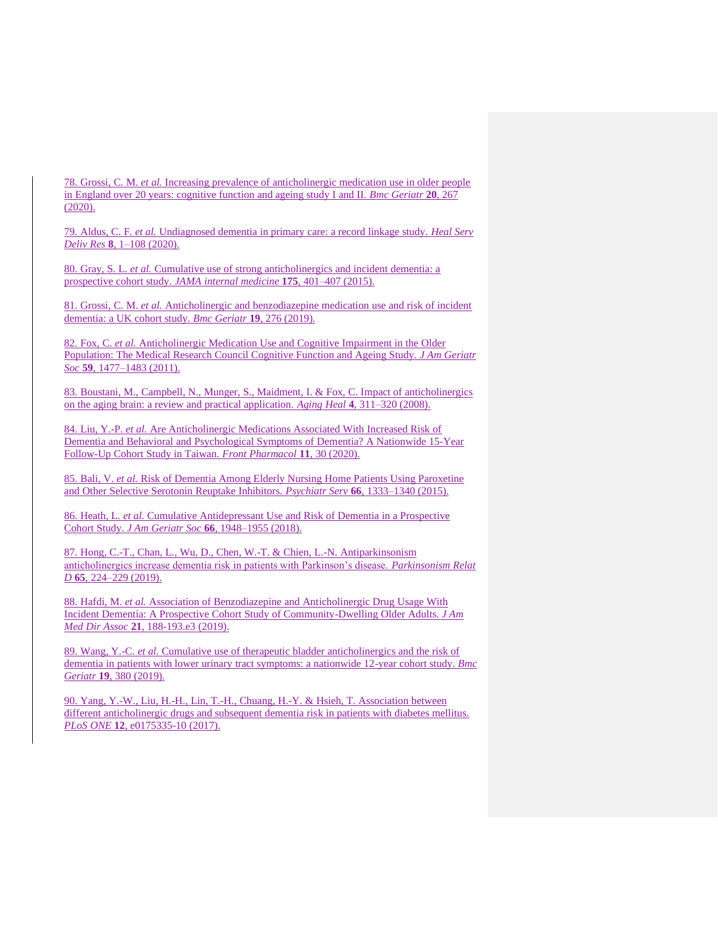78. Grossi, C. M. *et al.* Increasing prevalence of anticholinergic medication use in older people in England over 20 years: cognitive function and ageing study I and II. *Bmc Geriatr* **20**, 267 (2020).

79. Aldus, C. F. *et al.* Undiagnosed dementia in primary care: a record linkage study. *Heal Serv Deliv Res* **8**, 1–108 (2020).

80. Gray, S. L. *et al.* Cumulative use of strong anticholinergics and incident dementia: a prospective cohort study. *JAMA internal medicine* **175**, 401–407 (2015).

81. Grossi, C. M. *et al.* Anticholinergic and benzodiazepine medication use and risk of incident dementia: a UK cohort study. *Bmc Geriatr* **19**, 276 (2019).

82. Fox, C. *et al.* Anticholinergic Medication Use and Cognitive Impairment in the Older Population: The Medical Research Council Cognitive Function and Ageing Study. *J Am Geriatr Soc* **59**, 1477–1483 (2011).

83. Boustani, M., Campbell, N., Munger, S., Maidment, I. & Fox, C. Impact of anticholinergics on the aging brain: a review and practical application. *Aging Heal* **4**, 311–320 (2008).

84. Liu, Y.-P. *et al.* Are Anticholinergic Medications Associated With Increased Risk of Dementia and Behavioral and Psychological Symptoms of Dementia? A Nationwide 15-Year Follow-Up Cohort Study in Taiwan. *Front Pharmacol* **11**, 30 (2020).

85. Bali, V. *et al.* Risk of Dementia Among Elderly Nursing Home Patients Using Paroxetine and Other Selective Serotonin Reuptake Inhibitors. *Psychiatr Serv* **66**, 1333–1340 (2015).

86. Heath, L. *et al.* Cumulative Antidepressant Use and Risk of Dementia in a Prospective Cohort Study. *J Am Geriatr Soc* **66**, 1948–1955 (2018).

87. Hong, C.-T., Chan, L., Wu, D., Chen, W.-T. & Chien, L.-N. Antiparkinsonism anticholinergics increase dementia risk in patients with Parkinson's disease. *Parkinsonism Relat D* **65**, 224–229 (2019).

88. Hafdi, M. *et al.* Association of Benzodiazepine and Anticholinergic Drug Usage With Incident Dementia: A Prospective Cohort Study of Community-Dwelling Older Adults. *J Am Med Dir Assoc* **21**, 188-193.e3 (2019).

89. Wang, Y.-C. *et al.* Cumulative use of therapeutic bladder anticholinergics and the risk of dementia in patients with lower urinary tract symptoms: a nationwide 12-year cohort study. *Bmc Geriatr* **19**, 380 (2019).

90. Yang, Y.-W., Liu, H.-H., Lin, T.-H., Chuang, H.-Y. & Hsieh, T. Association between different anticholinergic drugs and subsequent dementia risk in patients with diabetes mellitus. *PLoS ONE* **12**, e0175335-10 (2017).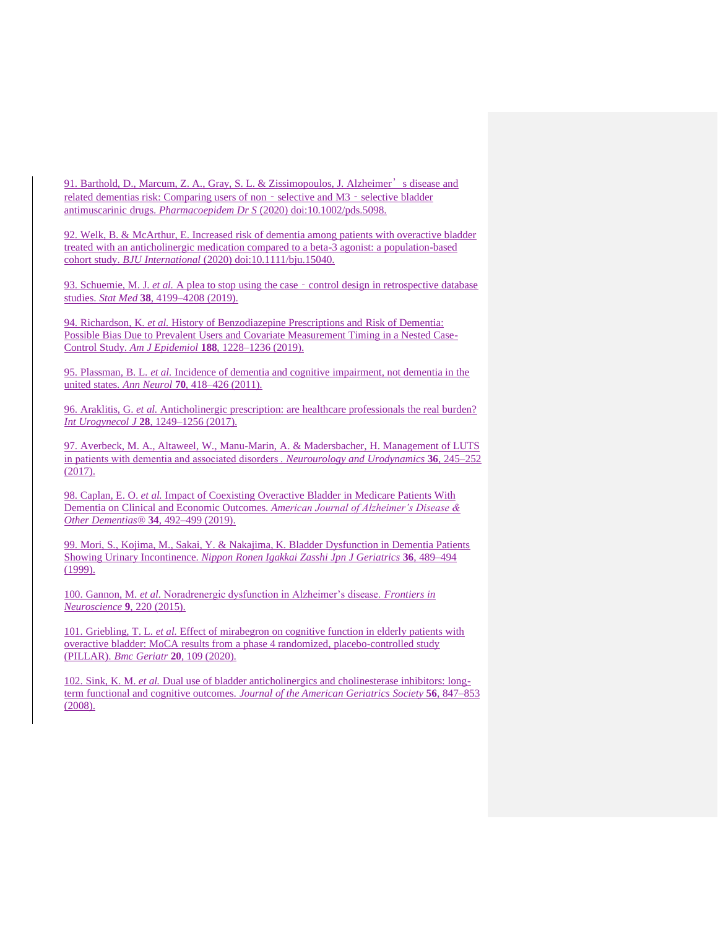91. Barthold, D., Marcum, Z. A., Gray, S. L. & Zissimopoulos, J. Alzheimer's disease and related dementias risk: Comparing users of non - selective and M3 - selective bladder antimuscarinic drugs. *Pharmacoepidem Dr S* (2020) doi:10.1002/pds.5098.

92. Welk, B. & McArthur, E. Increased risk of dementia among patients with overactive bladder treated with an anticholinergic medication compared to a beta-3 agonist: a population-based cohort study. *BJU International* (2020) doi:10.1111/bju.15040.

93. Schuemie, M. J. *et al.* A plea to stop using the case - control design in retrospective database studies. *Stat Med* **38**, 4199–4208 (2019).

94. Richardson, K. *et al.* History of Benzodiazepine Prescriptions and Risk of Dementia: Possible Bias Due to Prevalent Users and Covariate Measurement Timing in a Nested Case-Control Study. *Am J Epidemiol* **188**, 1228–1236 (2019).

95. Plassman, B. L. *et al.* Incidence of dementia and cognitive impairment, not dementia in the united states. *Ann Neurol* **70**, 418–426 (2011).

96. Araklitis, G. *et al.* Anticholinergic prescription: are healthcare professionals the real burden? *Int Urogynecol J* **28**, 1249–1256 (2017).

97. Averbeck, M. A., Altaweel, W., Manu-Marin, A. & Madersbacher, H. Management of LUTS in patients with dementia and associated disorders . *Neurourology and Urodynamics* **36**, 245–252 (2017).

98. Caplan, E. O. *et al.* Impact of Coexisting Overactive Bladder in Medicare Patients With Dementia on Clinical and Economic Outcomes. *American Journal of Alzheimer's Disease & Other Dementias®* **34**, 492–499 (2019).

99. Mori, S., Kojima, M., Sakai, Y. & Nakajima, K. Bladder Dysfunction in Dementia Patients Showing Urinary Incontinence. *Nippon Ronen Igakkai Zasshi Jpn J Geriatrics* **36**, 489–494 (1999).

100. Gannon, M. *et al.* Noradrenergic dysfunction in Alzheimer's disease. *Frontiers in Neuroscience* **9**, 220 (2015).

101. Griebling, T. L. *et al.* Effect of mirabegron on cognitive function in elderly patients with overactive bladder: MoCA results from a phase 4 randomized, placebo-controlled study (PILLAR). *Bmc Geriatr* **20**, 109 (2020).

102. Sink, K. M. *et al.* Dual use of bladder anticholinergics and cholinesterase inhibitors: longterm functional and cognitive outcomes. *Journal of the American Geriatrics Society* **56**, 847–853 (2008).